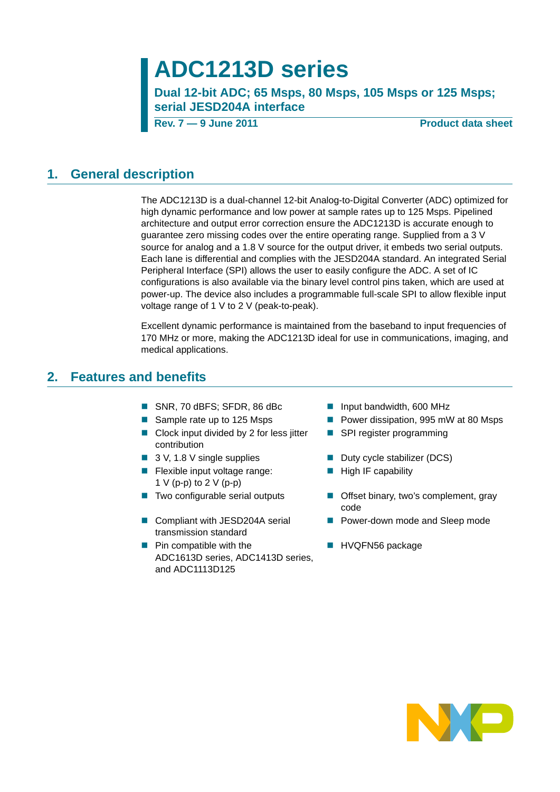# **ADC1213D series**

**Dual 12-bit ADC; 65 Msps, 80 Msps, 105 Msps or 125 Msps; serial JESD204A interface**

**Rev. 7** — 9 June 2011 **Product data sheet** 

#### <span id="page-0-0"></span>**1. General description**

The ADC1213D is a dual-channel 12-bit Analog-to-Digital Converter (ADC) optimized for high dynamic performance and low power at sample rates up to 125 Msps. Pipelined architecture and output error correction ensure the ADC1213D is accurate enough to guarantee zero missing codes over the entire operating range. Supplied from a 3 V source for analog and a 1.8 V source for the output driver, it embeds two serial outputs. Each lane is differential and complies with the JESD204A standard. An integrated Serial Peripheral Interface (SPI) allows the user to easily configure the ADC. A set of IC configurations is also available via the binary level control pins taken, which are used at power-up. The device also includes a programmable full-scale SPI to allow flexible input voltage range of 1 V to 2 V (peak-to-peak).

Excellent dynamic performance is maintained from the baseband to input frequencies of 170 MHz or more, making the ADC1213D ideal for use in communications, imaging, and medical applications.

#### <span id="page-0-1"></span>**2. Features and benefits**

- SNR, 70 dBFS; SFDR, 86 dBc Input bandwidth, 600 MHz
- 
- Clock input divided by 2 for less jitter contribution
- 
- **Flexible input voltage range:** 1 V (p-p) to 2 V (p-p)
- 
- Compliant with JESD204A serial transmission standard
- $\blacksquare$  Pin compatible with the ADC1613D series, ADC1413D series, and ADC1113D125
- 
- Sample rate up to 125 Msps Power dissipation, 995 mW at 80 Msps
	- SPI register programming
- 3 V, 1.8 V single supplies Duty cycle stabilizer (DCS)
	- $\blacksquare$  High IF capability
- Two configurable serial outputs Offset binary, two's complement, gray code
	- **Power-down mode and Sleep mode**
	- **HVQFN56 package**

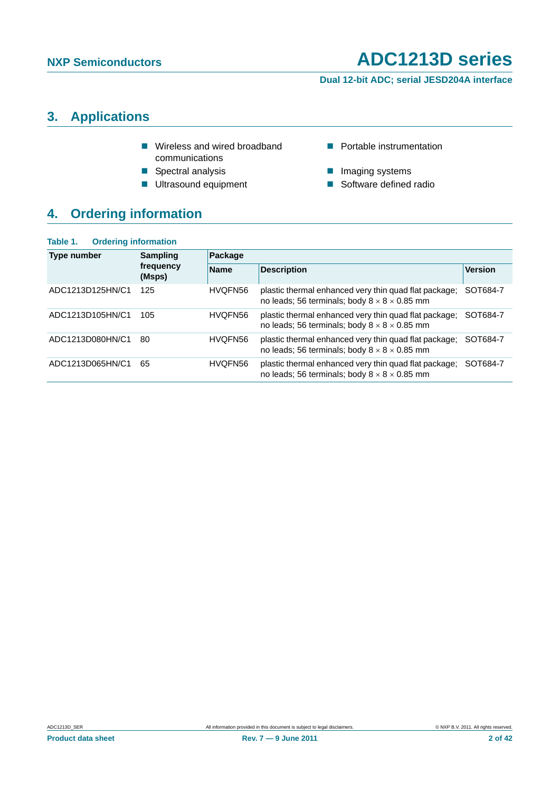**Dual 12-bit ADC; serial JESD204A interface**

## <span id="page-1-0"></span>**3. Applications**

- Wireless and wired broadband communications
- **Spectral analysis IMAGE Spectral analysis IMAGE Spectral analysis**
- Ultrasound equipment Software defined radio

## <span id="page-1-1"></span>**4. Ordering information**

| Table 1.<br><b>Ordering information</b> |                     |             |                                                                                                                   |                |  |  |  |  |  |  |  |
|-----------------------------------------|---------------------|-------------|-------------------------------------------------------------------------------------------------------------------|----------------|--|--|--|--|--|--|--|
| Type number                             | Sampling            | Package     |                                                                                                                   |                |  |  |  |  |  |  |  |
|                                         | frequency<br>(Msps) | <b>Name</b> | <b>Description</b>                                                                                                | <b>Version</b> |  |  |  |  |  |  |  |
| ADC1213D125HN/C1                        | 125                 | HVQFN56     | plastic thermal enhanced very thin quad flat package;<br>no leads; 56 terminals; body $8 \times 8 \times 0.85$ mm | SOT684-7       |  |  |  |  |  |  |  |
| ADC1213D105HN/C1                        | 105                 | HVQFN56     | plastic thermal enhanced very thin quad flat package;<br>no leads; 56 terminals; body $8 \times 8 \times 0.85$ mm | SOT684-7       |  |  |  |  |  |  |  |
| ADC1213D080HN/C1                        | 80                  | HVQFN56     | plastic thermal enhanced very thin quad flat package;<br>no leads; 56 terminals; body $8 \times 8 \times 0.85$ mm | SOT684-7       |  |  |  |  |  |  |  |
| ADC1213D065HN/C1                        | 65                  | HVQFN56     | plastic thermal enhanced very thin quad flat package;<br>no leads; 56 terminals; body $8 \times 8 \times 0.85$ mm | SOT684-7       |  |  |  |  |  |  |  |

**Portable instrumentation** 

- 
-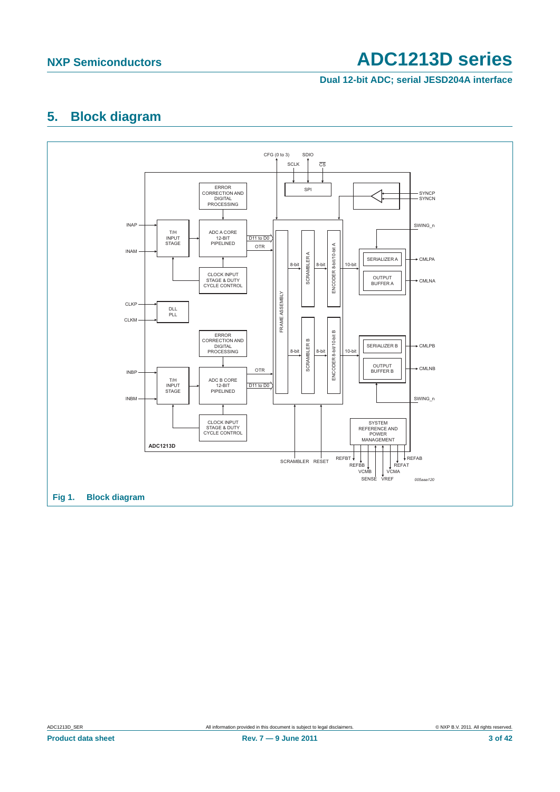**Dual 12-bit ADC; serial JESD204A interface**

## <span id="page-2-0"></span>**5. Block diagram**

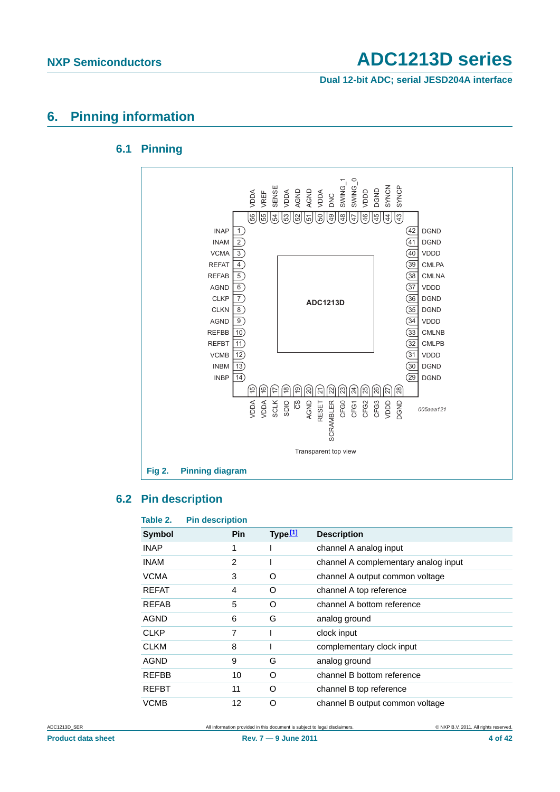**Dual 12-bit ADC; serial JESD204A interface**

#### <span id="page-3-1"></span><span id="page-3-0"></span>**6. Pinning information**

#### **6.1 Pinning**



#### <span id="page-3-2"></span>**6.2 Pin description**

#### **Table 2. Pin description Symbol Pin Typ[e\[1\]](#page-5-0) Description** INAP 1 I channel A analog input INAM 2 I channel A complementary analog input VCMA 3 O channel A output common voltage REFAT 4 O channel A top reference REFAB 5 O channel A bottom reference AGND 6 G analog ground CLKP 7 I clock input CLKM 8 I complementary clock input AGND 9 G analog ground REFBB 10 O channel B bottom reference REFBT 11 O channel B top reference VCMB 12 O channel B output common voltage

ADC1213D\_SER **All information provided in this document** is subject to legal disclaimers. **COMPROFITION** CONTROPIES TO A LIMIT CONTROPIES AND **ALL INTEREMENT CONTROL**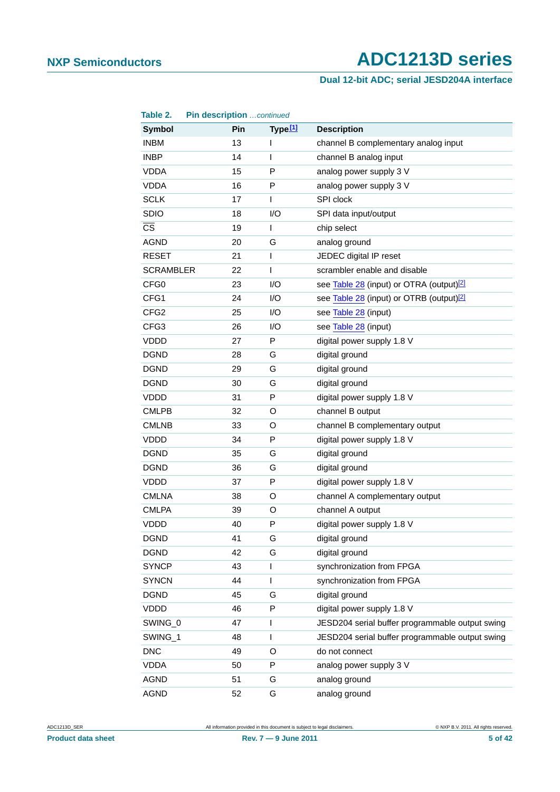#### **Dual 12-bit ADC; serial JESD204A interface**

| Table 2.               | Pin description continued |           |                                                      |
|------------------------|---------------------------|-----------|------------------------------------------------------|
| <b>Symbol</b>          | Pin                       | Type $11$ | <b>Description</b>                                   |
| <b>INBM</b>            | 13                        | I         | channel B complementary analog input                 |
| <b>INBP</b>            | 14                        | I         | channel B analog input                               |
| <b>VDDA</b>            | 15                        | P         | analog power supply 3 V                              |
| <b>VDDA</b>            | 16                        | P         | analog power supply 3 V                              |
| <b>SCLK</b>            | 17                        | ı         | SPI clock                                            |
| <b>SDIO</b>            | 18                        | 1/O       | SPI data input/output                                |
| $\overline{\text{cs}}$ | 19                        | ı         | chip select                                          |
| <b>AGND</b>            | 20                        | G         | analog ground                                        |
| <b>RESET</b>           | 21                        | I         | JEDEC digital IP reset                               |
| <b>SCRAMBLER</b>       | 22                        | I         | scrambler enable and disable                         |
| CFG0                   | 23                        | I/O       | see Table 28 (input) or OTRA (output) <sup>[2]</sup> |
| CFG1                   | 24                        | 1/O       | see Table 28 (input) or OTRB (output) <sup>[2]</sup> |
| CFG <sub>2</sub>       | 25                        | 1/O       | see Table 28 (input)                                 |
| CFG3                   | 26                        | 1/O       | see Table 28 (input)                                 |
| <b>VDDD</b>            | 27                        | P         | digital power supply 1.8 V                           |
| <b>DGND</b>            | 28                        | G         | digital ground                                       |
| <b>DGND</b>            | 29                        | G         | digital ground                                       |
| <b>DGND</b>            | 30                        | G         | digital ground                                       |
| <b>VDDD</b>            | 31                        | P         | digital power supply 1.8 V                           |
| <b>CMLPB</b>           | 32                        | O         | channel B output                                     |
| <b>CMLNB</b>           | 33                        | O         | channel B complementary output                       |
| <b>VDDD</b>            | 34                        | P         | digital power supply 1.8 V                           |
| <b>DGND</b>            | 35                        | G         | digital ground                                       |
| <b>DGND</b>            | 36                        | G         | digital ground                                       |
| <b>VDDD</b>            | 37                        | P         | digital power supply 1.8 V                           |
| <b>CMLNA</b>           | 38                        | O         | channel A complementary output                       |
| <b>CMLPA</b>           | 39                        | O         | channel A output                                     |
| <b>VDDD</b>            | 40                        | P         | digital power supply 1.8 V                           |
| <b>DGND</b>            | 41                        | G         | digital ground                                       |
| <b>DGND</b>            | 42                        | G         | digital ground                                       |
| <b>SYNCP</b>           | 43                        | I         | synchronization from FPGA                            |
| <b>SYNCN</b>           | 44                        | I         | synchronization from FPGA                            |
| <b>DGND</b>            | 45                        | G         | digital ground                                       |
| VDDD                   | 46                        | P         | digital power supply 1.8 V                           |
| SWING_0                | 47                        | I         | JESD204 serial buffer programmable output swing      |
| SWING_1                | 48                        | I         | JESD204 serial buffer programmable output swing      |
| <b>DNC</b>             | 49                        | O         | do not connect                                       |
| VDDA                   | 50                        | Ρ         | analog power supply 3 V                              |
| <b>AGND</b>            | 51                        | G         | analog ground                                        |
| <b>AGND</b>            | 52                        | G         | analog ground                                        |

**Product data sheet 6.1 Contract Rev. 7 — 9 June 2011 6.1 Contract 2011 6.1 Contract 2012 5 of 42**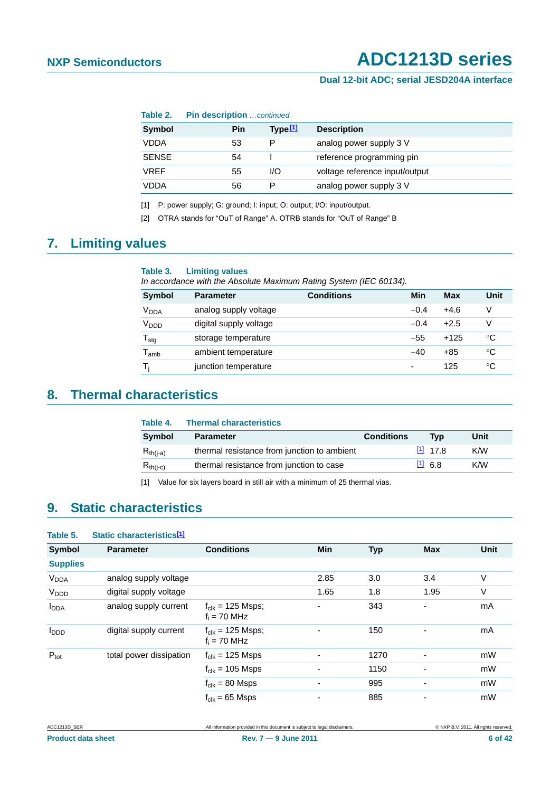#### **Dual 12-bit ADC; serial JESD204A interface**

| Table 2.      | <b>Pin description</b> continued |     |                     |                                |
|---------------|----------------------------------|-----|---------------------|--------------------------------|
| <b>Symbol</b> |                                  | Pin | Type <sub>[1]</sub> | <b>Description</b>             |
| <b>VDDA</b>   |                                  | 53  | P                   | analog power supply 3 V        |
| <b>SENSE</b>  |                                  | 54  |                     | reference programming pin      |
| <b>VREF</b>   |                                  | 55  | 1/O                 | voltage reference input/output |
| VDDA          |                                  | 56  | P                   | analog power supply 3 V        |

<span id="page-5-0"></span>[1] P: power supply; G: ground; I: input; O: output; I/O: input/output.

<span id="page-5-1"></span>[2] OTRA stands for "OuT of Range" A. OTRB stands for "OuT of Range" B

## <span id="page-5-3"></span>**7. Limiting values**

#### **Table 3. Limiting values**

*In accordance with the Absolute Maximum Rating System (IEC 60134).*

| <b>Symbol</b>               | <b>Parameter</b>       | <b>Conditions</b> | Min                      | Max    | Unit |
|-----------------------------|------------------------|-------------------|--------------------------|--------|------|
| V <sub>DDA</sub>            | analog supply voltage  |                   | $-0.4$                   | $+4.6$ | V    |
| V <sub>DDD</sub>            | digital supply voltage |                   | $-0.4$                   | $+2.5$ | V    |
| ${\mathsf T}_{\text{stg}}$  | storage temperature    |                   | $-55$                    | $+125$ | °C   |
| $\mathsf{T}_{\mathsf{amb}}$ | ambient temperature    |                   | $-40$                    | $+85$  | °C   |
|                             | junction temperature   |                   | $\overline{\phantom{0}}$ | 125    | °C   |

#### <span id="page-5-4"></span>**8. Thermal characteristics**

| Table 4.      | <b>Thermal characteristics</b>              |                   |           |      |  |
|---------------|---------------------------------------------|-------------------|-----------|------|--|
| <b>Symbol</b> | <b>Parameter</b>                            | <b>Conditions</b> | Tvp       | Unit |  |
| $R_{th(i-a)}$ | thermal resistance from junction to ambient |                   | $[1]$ 178 | K/W  |  |
| $R_{th(i-c)}$ | thermal resistance from junction to case    |                   | 116.8     | K/W  |  |

<span id="page-5-2"></span>[1] Value for six layers board in still air with a minimum of 25 thermal vias.

#### <span id="page-5-5"></span>**9. Static characteristics**

| Table 5.                | Static characteristics <sup>[1]</sup> |                                                |                |            |            |             |
|-------------------------|---------------------------------------|------------------------------------------------|----------------|------------|------------|-------------|
| <b>Symbol</b>           | <b>Parameter</b>                      | <b>Conditions</b>                              | Min            | <b>Typ</b> | <b>Max</b> | <b>Unit</b> |
| <b>Supplies</b>         |                                       |                                                |                |            |            |             |
| <b>V<sub>DDA</sub></b>  | analog supply voltage                 |                                                | 2.85           | 3.0        | 3.4        | V           |
| <b>V</b> <sub>DDD</sub> | digital supply voltage                |                                                | 1.65           | 1.8        | 1.95       | V           |
| I <sub>DDA</sub>        | analog supply current                 | $f_{\text{clk}}$ = 125 Msps;<br>$f_i = 70$ MHz | $\blacksquare$ | 343        |            | mA          |
| $I_{DDD}$               | digital supply current                | $f_{\text{clk}}$ = 125 Msps;<br>$f_i = 70$ MHz |                | 150        |            | mA          |
| $P_{\text{tot}}$        | total power dissipation               | $f_{\text{clk}}$ = 125 Msps                    |                | 1270       |            | mW          |
|                         |                                       | $f_{\text{clk}}$ = 105 Msps                    |                | 1150       |            | mW          |
|                         |                                       | $f_{\text{clk}} = 80$ Msps                     |                | 995        |            | mW          |
|                         |                                       | $f_{\text{clk}} = 65$ Msps                     |                | 885        |            | mW          |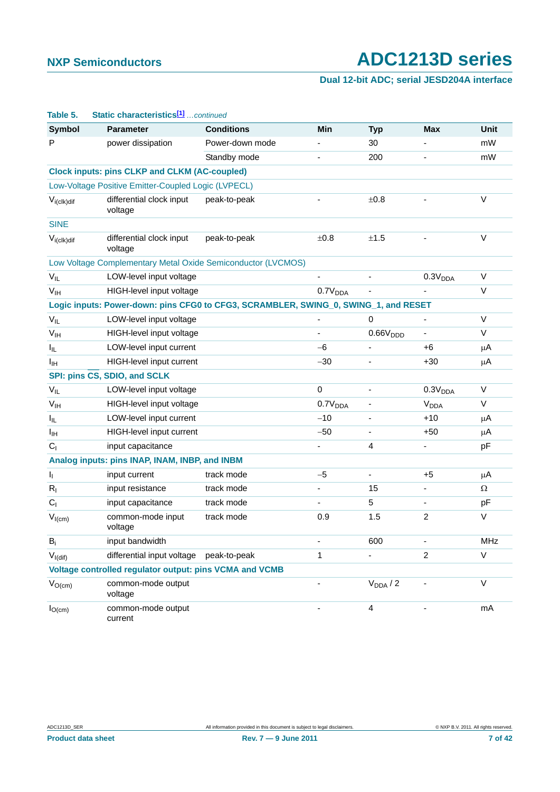#### **Dual 12-bit ADC; serial JESD204A interface**

| Table 5.            | Static characteristics <sup>[1]</sup> continued                                     |                   |                     |                          |                              |             |
|---------------------|-------------------------------------------------------------------------------------|-------------------|---------------------|--------------------------|------------------------------|-------------|
| <b>Symbol</b>       | <b>Parameter</b>                                                                    | <b>Conditions</b> | Min                 | <b>Typ</b>               | <b>Max</b>                   | <b>Unit</b> |
| P                   | power dissipation                                                                   | Power-down mode   |                     | 30                       |                              | mW          |
|                     |                                                                                     | Standby mode      |                     | 200                      |                              | mW          |
|                     | <b>Clock inputs: pins CLKP and CLKM (AC-coupled)</b>                                |                   |                     |                          |                              |             |
|                     | Low-Voltage Positive Emitter-Coupled Logic (LVPECL)                                 |                   |                     |                          |                              |             |
| $V_{i (c I k) dif}$ | differential clock input<br>voltage                                                 | peak-to-peak      |                     | ±0.8                     |                              | V           |
| <b>SINE</b>         |                                                                                     |                   |                     |                          |                              |             |
| $V_{i (clk) dif}$   | differential clock input<br>voltage                                                 | peak-to-peak      | $\pm 0.8$           | ±1.5                     |                              | $\vee$      |
|                     | Low Voltage Complementary Metal Oxide Semiconductor (LVCMOS)                        |                   |                     |                          |                              |             |
| $V_{IL}$            | LOW-level input voltage                                                             |                   |                     |                          | 0.3V <sub>DDA</sub>          | V           |
| V <sub>IH</sub>     | HIGH-level input voltage                                                            |                   | 0.7V <sub>DDA</sub> |                          |                              | $\vee$      |
|                     | Logic inputs: Power-down: pins CFG0 to CFG3, SCRAMBLER, SWING_0, SWING_1, and RESET |                   |                     |                          |                              |             |
| $V_{IL}$            | LOW-level input voltage                                                             |                   |                     | 0                        |                              | V           |
| V <sub>IH</sub>     | HIGH-level input voltage                                                            |                   |                     | 0.66V <sub>DDD</sub>     | $\qquad \qquad \blacksquare$ | V           |
| Ιıμ,                | LOW-level input current                                                             |                   | $-6$                |                          | $+6$                         | μA          |
| Iн                  | HIGH-level input current                                                            |                   | $-30$               |                          | $+30$                        | μA          |
|                     | SPI: pins CS, SDIO, and SCLK                                                        |                   |                     |                          |                              |             |
| $V_{IL}$            | LOW-level input voltage                                                             |                   | $\mathbf 0$         |                          | 0.3V <sub>DDA</sub>          | V           |
| V <sub>IH</sub>     | HIGH-level input voltage                                                            |                   | 0.7V <sub>DDA</sub> |                          | <b>V<sub>DDA</sub></b>       | V           |
| I <sub>IL</sub>     | LOW-level input current                                                             |                   | $-10$               |                          | $+10$                        | μA          |
| Iн                  | HIGH-level input current                                                            |                   | $-50$               |                          | $+50$                        | μA          |
| C <sub>1</sub>      | input capacitance                                                                   |                   |                     | 4                        | $\qquad \qquad \blacksquare$ | pF          |
|                     | Analog inputs: pins INAP, INAM, INBP, and INBM                                      |                   |                     |                          |                              |             |
| I <sub>I</sub>      | input current                                                                       | track mode        | $-5$                | $\overline{\phantom{0}}$ | $+5$                         | μA          |
| $R_{I}$             | input resistance                                                                    | track mode        |                     | 15                       |                              | $\Omega$    |
| C <sub>1</sub>      | input capacitance                                                                   | track mode        |                     | 5                        |                              | pF          |
| $V_{I(cm)}$         | common-mode input<br>voltage                                                        | track mode        | 0.9                 | 1.5                      | $\overline{c}$               | $\vee$      |
| $B_i$               | input bandwidth                                                                     |                   |                     | 600                      |                              | <b>MHz</b>  |
| $V_{I(dif)}$        | differential input voltage                                                          | peak-to-peak      | 1                   |                          | $\overline{2}$               | $\vee$      |
|                     | Voltage controlled regulator output: pins VCMA and VCMB                             |                   |                     |                          |                              |             |
| $V_{O(cm)}$         | common-mode output<br>voltage                                                       |                   |                     | $V_{DDA}$ / 2            |                              | $\vee$      |
| $I_{O(cm)}$         | common-mode output<br>current                                                       |                   |                     | 4                        |                              | mA          |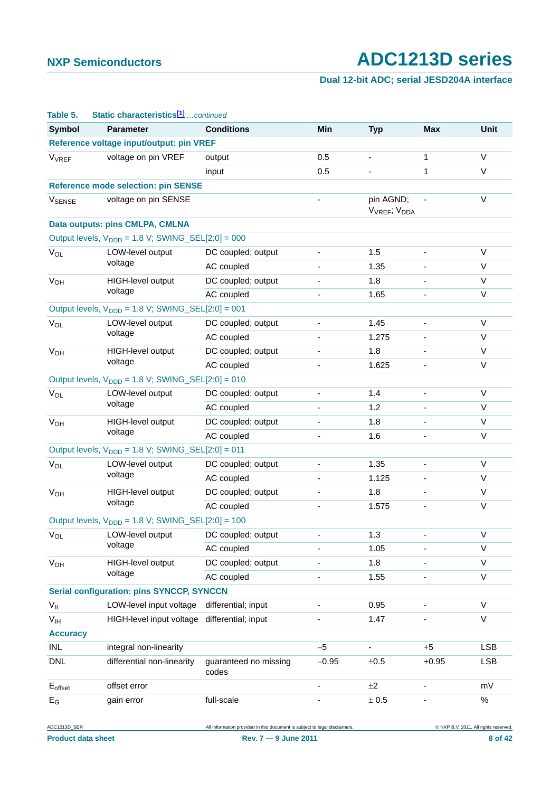#### **Dual 12-bit ADC; serial JESD204A interface**

| Table 5.                     | Static characteristics <sup>[1]</sup> continued                        |                                |                          |                                                   |                          |              |
|------------------------------|------------------------------------------------------------------------|--------------------------------|--------------------------|---------------------------------------------------|--------------------------|--------------|
| <b>Symbol</b>                | <b>Parameter</b>                                                       | <b>Conditions</b>              | Min                      | <b>Typ</b>                                        | <b>Max</b>               | Unit         |
|                              | Reference voltage input/output: pin VREF                               |                                |                          |                                                   |                          |              |
| <b>V<sub>VREF</sub></b>      | voltage on pin VREF                                                    | output                         | 0.5                      |                                                   | 1                        | V            |
|                              |                                                                        | input                          | 0.5                      |                                                   | $\mathbf{1}$             | $\vee$       |
|                              | <b>Reference mode selection: pin SENSE</b>                             |                                |                          |                                                   |                          |              |
| <b>V</b> SENSE               | voltage on pin SENSE                                                   |                                |                          | pin AGND;<br>V <sub>VREF</sub> ; V <sub>DDA</sub> |                          | $\vee$       |
|                              | Data outputs: pins CMLPA, CMLNA                                        |                                |                          |                                                   |                          |              |
|                              | Output levels, $V_{\text{DDD}} = 1.8 \text{ V}$ ; SWING_SEL[2:0] = 000 |                                |                          |                                                   |                          |              |
| $V_{OL}$                     | LOW-level output                                                       | DC coupled; output             |                          | 1.5                                               |                          | V            |
|                              | voltage                                                                | AC coupled                     |                          | 1.35                                              |                          | V            |
| $V_{OH}$                     | HIGH-level output                                                      | DC coupled; output             |                          | 1.8                                               |                          | V            |
|                              | voltage                                                                | AC coupled                     |                          | 1.65                                              |                          | V            |
|                              | Output levels, $V_{\text{DDD}} = 1.8 \text{ V}$ ; SWING_SEL[2:0] = 001 |                                |                          |                                                   |                          |              |
| $V_{OL}$                     | LOW-level output                                                       | DC coupled; output             | $\overline{\phantom{a}}$ | 1.45                                              | $\overline{\phantom{a}}$ | V            |
|                              | voltage                                                                | AC coupled                     |                          | 1.275                                             |                          | V            |
| $V_{OH}$                     | HIGH-level output                                                      | DC coupled; output             |                          | 1.8                                               |                          | V            |
|                              | voltage                                                                | AC coupled                     |                          | 1.625                                             |                          | V            |
|                              | Output levels, $V_{\text{DDD}} = 1.8 \text{ V}$ ; SWING_SEL[2:0] = 010 |                                |                          |                                                   |                          |              |
| $V_{OL}$                     | LOW-level output                                                       | DC coupled; output             |                          | 1.4                                               |                          | V            |
|                              | voltage                                                                | AC coupled                     |                          | 1.2                                               |                          | V            |
| $V_{OH}$                     | HIGH-level output                                                      | DC coupled; output             |                          | 1.8                                               |                          | V            |
|                              | voltage                                                                | AC coupled                     |                          | 1.6                                               |                          | V            |
|                              | Output levels, $V_{\text{DDD}} = 1.8 \text{ V}$ ; SWING_SEL[2:0] = 011 |                                |                          |                                                   |                          |              |
| $V_{OL}$                     | LOW-level output                                                       | DC coupled; output             | $\overline{\phantom{a}}$ | 1.35                                              | $\overline{\phantom{a}}$ | V            |
|                              | voltage                                                                | AC coupled                     |                          | 1.125                                             |                          | V            |
| $V_{OH}$                     | HIGH-level output                                                      | DC coupled; output             |                          | 1.8                                               |                          | V            |
|                              | voltage                                                                | AC coupled                     |                          | 1.575                                             |                          | V            |
|                              | Output levels, $V_{\text{DDD}} = 1.8 \text{ V}$ ; SWING_SEL[2:0] = 100 |                                |                          |                                                   |                          |              |
| $V_{OL}$                     | LOW-level output DC coupled; output                                    |                                |                          | 1.3                                               |                          | ${\sf V}$    |
|                              | voltage                                                                | AC coupled                     |                          | 1.05                                              | $\overline{\phantom{a}}$ | V            |
| $V_{OH}$                     | HIGH-level output                                                      | DC coupled; output             |                          | 1.8                                               |                          | $\mathsf{V}$ |
|                              | voltage                                                                | AC coupled                     |                          | 1.55                                              |                          | V            |
|                              | <b>Serial configuration: pins SYNCCP, SYNCCN</b>                       |                                |                          |                                                   |                          |              |
| $V_{IL}$                     | LOW-level input voltage                                                | differential; input            | $\blacksquare$           | 0.95                                              | $\overline{\phantom{a}}$ | V            |
| V <sub>IH</sub>              | HIGH-level input voltage                                               | differential; input            |                          | 1.47                                              |                          | V            |
| <b>Accuracy</b>              |                                                                        |                                |                          |                                                   |                          |              |
| INL                          | integral non-linearity                                                 |                                | $-5$                     |                                                   | $+5$                     | <b>LSB</b>   |
| <b>DNL</b>                   | differential non-linearity                                             | guaranteed no missing<br>codes | $-0.95$                  | $\pm 0.5$                                         | $+0.95$                  | <b>LSB</b>   |
| $\mathsf{E}_{\text{offset}}$ | offset error                                                           |                                |                          | ±2                                                |                          | mV           |
| $E_G$                        | gain error                                                             | full-scale                     |                          | $\pm$ 0.5                                         |                          | $\%$         |

**Product data sheet 8 of 42 Rev. 7 – 9 June 2011** 8 **and 2011** 8 of 42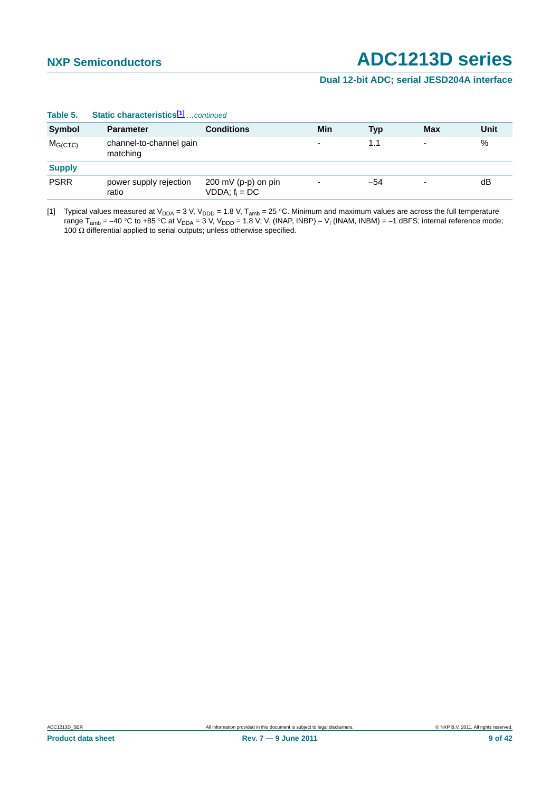#### **Dual 12-bit ADC; serial JESD204A interface**

| <b>Symbol</b>       | <b>Parameter</b>                    | <b>Conditions</b>                                 | Min                      | <b>Typ</b> | Max                      | Unit |
|---------------------|-------------------------------------|---------------------------------------------------|--------------------------|------------|--------------------------|------|
| M <sub>G(CTC)</sub> | channel-to-channel gain<br>matching |                                                   | $\overline{\phantom{0}}$ | 1.1        | $\overline{\phantom{0}}$ | %    |
| <b>Supply</b>       |                                     |                                                   |                          |            |                          |      |
| <b>PSRR</b>         | power supply rejection<br>ratio     | $200 \text{ mV}$ (p-p) on pin<br>VDDA; $f_i = DC$ | $\overline{\phantom{a}}$ | $-54$      | $\overline{\phantom{a}}$ | dB   |

#### **Table 5. Static characteristics[1]** *…continued*

<span id="page-8-0"></span>[1] Typical values measured at V<sub>DDA</sub> = 3 V, V<sub>DDD</sub> = 1.8 V, T<sub>amb</sub> = 25 °C. Minimum and maximum values are across the full temperature range T<sub>amb</sub> = –40 °C to +85 °C at V<sub>DDA</sub> = 3 V, V<sub>DDD</sub> = 1.8 V; V<sub>I</sub> (INAP, INBP) – V<sub>I</sub> (INAM, INBM) = –1 dBFS; internal reference mode; 100  $\Omega$  differential applied to serial outputs; unless otherwise specified.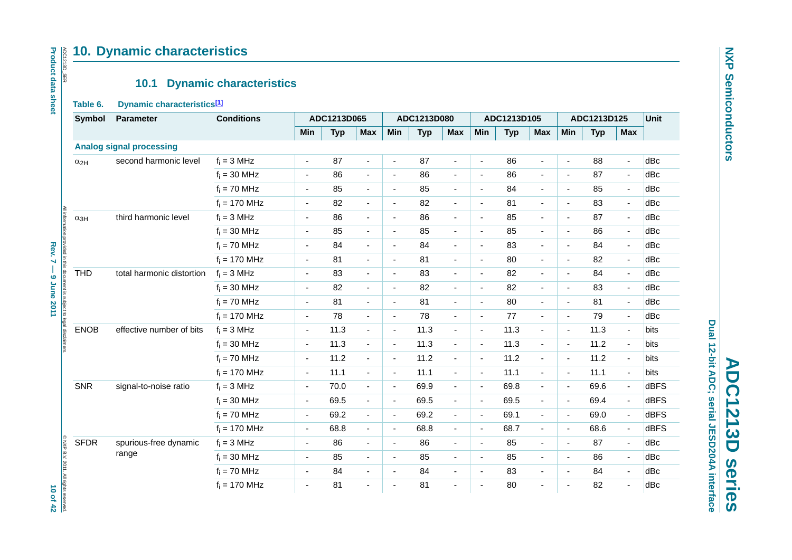## **10. Dynamic characteristics** ADC1213D\_SER

#### **10.1 Dynamic characteristics**

#### **Table 6. Dynamic characteristics[\[1\]](#page-10-0)**

|               | 10.1                            | <b>Dynamic characteristics</b> |                          |             |                |                          |             |                          |                          |             |                          |                          |             |                          |      |
|---------------|---------------------------------|--------------------------------|--------------------------|-------------|----------------|--------------------------|-------------|--------------------------|--------------------------|-------------|--------------------------|--------------------------|-------------|--------------------------|------|
| Table 6.      | Dynamic characteristics[1]      |                                |                          |             |                |                          |             |                          |                          |             |                          |                          |             |                          |      |
| <b>Symbol</b> | <b>Parameter</b>                | <b>Conditions</b>              |                          | ADC1213D065 |                |                          | ADC1213D080 |                          |                          | ADC1213D105 |                          |                          | ADC1213D125 |                          | Unit |
|               |                                 |                                | Min                      | <b>Typ</b>  | <b>Max</b>     | Min                      | <b>Typ</b>  | Max                      | Min                      | <b>Typ</b>  | <b>Max</b>               | Min                      | <b>Typ</b>  | <b>Max</b>               |      |
|               | <b>Analog signal processing</b> |                                |                          |             |                |                          |             |                          |                          |             |                          |                          |             |                          |      |
| $\alpha_{2H}$ | second harmonic level           | $f_i = 3 MHz$                  | $\overline{\phantom{a}}$ | 87          | $\blacksquare$ | $\blacksquare$           | 87          | $\blacksquare$           | $\blacksquare$           | 86          | $\blacksquare$           | $\blacksquare$           | 88          | $\blacksquare$           | dBc  |
|               |                                 | $f_i = 30$ MHz                 | $\blacksquare$           | 86          | $\blacksquare$ | $\blacksquare$           | 86          | $\overline{\phantom{a}}$ | $\blacksquare$           | 86          | $\blacksquare$           | $\blacksquare$           | 87          | $\overline{\phantom{a}}$ | dBc  |
|               |                                 | $f_i = 70$ MHz                 | $\sim$                   | 85          | $\blacksquare$ | $\blacksquare$           | 85          | $\blacksquare$           | $\overline{\phantom{a}}$ | 84          | $\blacksquare$           | $\blacksquare$           | 85          | $\blacksquare$           | dBc  |
|               |                                 | $f_i = 170$ MHz                | ä,                       | 82          | $\blacksquare$ | $\blacksquare$           | 82          | $\blacksquare$           | $\overline{\phantom{a}}$ | 81          | $\overline{\phantom{a}}$ | $\blacksquare$           | 83          | $\blacksquare$           | dBc  |
| $\alpha_{3H}$ | third harmonic level            | $f_i = 3 MHz$                  | $\blacksquare$           | 86          | $\blacksquare$ | $\blacksquare$           | 86          | $\overline{\phantom{a}}$ | $\blacksquare$           | 85          | $\blacksquare$           | $\blacksquare$           | 87          | $\blacksquare$           | dBc  |
|               |                                 | $f_i = 30$ MHz                 | $\blacksquare$           | 85          | $\blacksquare$ | $\blacksquare$           | 85          | $\blacksquare$           | $\blacksquare$           | 85          | $\overline{\phantom{a}}$ | $\blacksquare$           | 86          | $\blacksquare$           | dBc  |
|               |                                 | $f_i = 70$ MHz                 | ä,                       | 84          | $\blacksquare$ | $\blacksquare$           | 84          | $\blacksquare$           | $\blacksquare$           | 83          | $\blacksquare$           | $\sim$                   | 84          | $\blacksquare$           | dBc  |
|               |                                 | $f_i = 170$ MHz                | L.                       | 81          | $\blacksquare$ | $\overline{\phantom{a}}$ | 81          | $\overline{\phantom{a}}$ | $\blacksquare$           | 80          | ÷.                       | $\sim$                   | 82          | $\blacksquare$           | dBc  |
| <b>THD</b>    | total harmonic distortion       | $f_i = 3 MHz$                  | $\blacksquare$           | 83          | $\blacksquare$ | $\blacksquare$           | 83          | $\overline{\phantom{a}}$ | $\blacksquare$           | 82          | $\blacksquare$           | $\sim$                   | 84          | $\blacksquare$           | dBc  |
|               |                                 | $f_i = 30$ MHz                 | $\blacksquare$           | 82          | $\blacksquare$ | $\overline{\phantom{a}}$ | 82          | $\blacksquare$           | $\blacksquare$           | 82          | $\blacksquare$           | $\blacksquare$           | 83          | $\blacksquare$           | dBc  |
|               |                                 | $f_i = 70$ MHz                 | $\blacksquare$           | 81          | $\blacksquare$ | $\overline{\phantom{a}}$ | 81          | $\overline{\phantom{a}}$ | $\blacksquare$           | 80          | $\blacksquare$           | $\blacksquare$           | 81          | $\blacksquare$           | dBc  |
|               |                                 | $f_i = 170$ MHz                | $\overline{\phantom{a}}$ | 78          | $\blacksquare$ | $\blacksquare$           | 78          | $\blacksquare$           | $\blacksquare$           | 77          | $\overline{\phantom{a}}$ | $\blacksquare$           | 79          | $\blacksquare$           | dBc  |
| <b>ENOB</b>   | effective number of bits        | $f_i = 3 MHz$                  | $\blacksquare$           | 11.3        | $\blacksquare$ | $\blacksquare$           | 11.3        | $\blacksquare$           | $\blacksquare$           | 11.3        | $\blacksquare$           | $\overline{\phantom{a}}$ | 11.3        | $\blacksquare$           | bits |
|               |                                 | $f_i = 30$ MHz                 | $\overline{\phantom{a}}$ | 11.3        | $\blacksquare$ | $\overline{\phantom{a}}$ | 11.3        | $\overline{\phantom{a}}$ | $\blacksquare$           | 11.3        | $\blacksquare$           | $\blacksquare$           | 11.2        | $\blacksquare$           | bits |
|               |                                 | $f_i = 70$ MHz                 | $\blacksquare$           | 11.2        | $\blacksquare$ | $\blacksquare$           | 11.2        | $\overline{\phantom{a}}$ | $\blacksquare$           | 11.2        | $\blacksquare$           | $\blacksquare$           | 11.2        | $\blacksquare$           | bits |
|               |                                 | $f_i = 170$ MHz                | $\blacksquare$           | 11.1        | $\blacksquare$ | $\blacksquare$           | 11.1        | $\overline{\phantom{a}}$ | $\blacksquare$           | 11.1        | $\blacksquare$           | $\blacksquare$           | 11.1        | $\blacksquare$           | bits |
| <b>SNR</b>    | signal-to-noise ratio           | $f_i = 3 MHz$                  | $\blacksquare$           | 70.0        | $\blacksquare$ | $\blacksquare$           | 69.9        | $\blacksquare$           | $\blacksquare$           | 69.8        | $\blacksquare$           | $\blacksquare$           | 69.6        | $\blacksquare$           | dBFS |
|               |                                 | $f_i = 30$ MHz                 | $\blacksquare$           | 69.5        | $\blacksquare$ | $\overline{\phantom{a}}$ | 69.5        | $\blacksquare$           | $\blacksquare$           | 69.5        | $\blacksquare$           | $\sim$                   | 69.4        | $\blacksquare$           | dBFS |
|               |                                 | $f_i = 70$ MHz                 | $\blacksquare$           | 69.2        | $\omega$       | $\blacksquare$           | 69.2        | $\blacksquare$           | $\blacksquare$           | 69.1        | $\blacksquare$           | $\blacksquare$           | 69.0        | $\blacksquare$           | dBFS |
|               |                                 | $f_i = 170$ MHz                | $\blacksquare$           | 68.8        | $\blacksquare$ | $\blacksquare$           | 68.8        | $\blacksquare$           | $\blacksquare$           | 68.7        | $\blacksquare$           | $\blacksquare$           | 68.6        | $\blacksquare$           | dBFS |
| <b>SFDR</b>   | spurious-free dynamic           | $f_i = 3 MHz$                  | $\overline{\phantom{a}}$ | 86          | $\blacksquare$ | $\blacksquare$           | 86          | $\blacksquare$           | $\blacksquare$           | 85          | $\overline{\phantom{a}}$ | $\blacksquare$           | 87          | $\blacksquare$           | dBc  |
|               | range                           | $f_i = 30$ MHz                 | $\blacksquare$           | 85          | $\blacksquare$ | $\blacksquare$           | 85          | $\overline{\phantom{a}}$ | $\overline{\phantom{a}}$ | 85          | $\overline{\phantom{a}}$ | $\blacksquare$           | 86          | $\overline{\phantom{a}}$ | dBc  |
|               |                                 | $f_i = 70$ MHz                 | ÷,                       | 84          | $\blacksquare$ | $\blacksquare$           | 84          | $\blacksquare$           | $\blacksquare$           | 83          | $\blacksquare$           | $\blacksquare$           | 84          | $\blacksquare$           | dBc  |
|               |                                 | $f_i = 170$ MHz                | ä,                       | 81          | $\blacksquare$ | $\blacksquare$           | 81          | ÷,                       |                          | 80          | $\blacksquare$           |                          | 82          | $\blacksquare$           | dBc  |

**NXP Semiconductors NXP Semiconductors**

Dual 12-bit ADC; serial JESD204A interface ADC1213D series **ADC1213D series**

**Dual 12-bit ADC; serial JESD204A interface**

# **Product data sheet Rev. 2**  $\leq$  **Rev. 7**  $\leq$  **Rev. 7**  $\leq$  **Rev. 7**  $\leq$  **Rev. 7**  $\leq$  **Rev. 7**  $\leq$  **Rev. 7**  $\leq$  **Rev. 7**  $\leq$  **Rev. 7**  $\leq$  **Rev. 7**  $\leq$  **Rev. 7**  $\leq$  **Rev. 7**  $\leq$  **Rev. 7**  $\leq$  **Rev. 7**  $\leq$  **Rev. 7**  $\leq$  **Rev. 7** rights reserved.<br>10 of 42

**Product data sheet** 

<span id="page-9-1"></span><span id="page-9-0"></span>Rev. 7 - 9 June 2011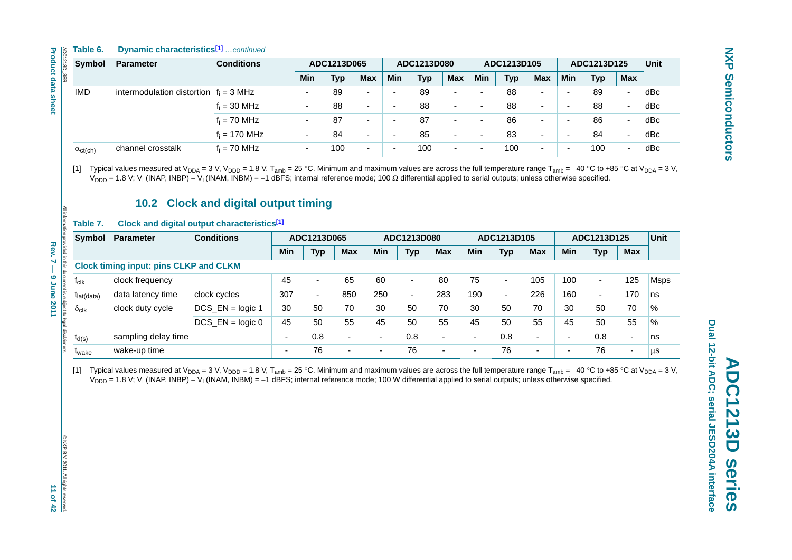#### **Table 6. Dynamic characteristics[1]** *…continued*

|                          | <b>Parameter</b>                                                                    | <b>Conditions</b>    |                |                          | ADC1213D065              |                |                          | ADC1213D080 |                          |                          | ADC1213D105              |                |                          | ADC1213D125    |                          | Unit        |
|--------------------------|-------------------------------------------------------------------------------------|----------------------|----------------|--------------------------|--------------------------|----------------|--------------------------|-------------|--------------------------|--------------------------|--------------------------|----------------|--------------------------|----------------|--------------------------|-------------|
|                          |                                                                                     |                      |                | Min                      | <b>Typ</b>               | Max            | Min                      | <b>Typ</b>  | <b>Max</b>               | Min                      | <b>Typ</b>               | <b>Max</b>     | Min                      | <b>Typ</b>     | <b>Max</b>               |             |
| <b>IMD</b>               | intermodulation distortion $f_i = 3 \text{ MHz}$                                    |                      |                | $\blacksquare$           | 89                       | $\blacksquare$ | $\blacksquare$           | 89          |                          | $\blacksquare$           | 88                       | $\blacksquare$ | $\overline{a}$           | 89             | $\overline{\phantom{a}}$ | dBc         |
|                          |                                                                                     | $f_i = 30$ MHz       |                | $\overline{\phantom{a}}$ | 88                       | $\blacksquare$ | ä,                       | 88          | $\overline{\phantom{a}}$ | $\blacksquare$           | 88                       | $\blacksquare$ | $\blacksquare$           | 88             | $\blacksquare$           | dBc         |
|                          |                                                                                     | $f_i = 70$ MHz       |                | $\overline{\phantom{a}}$ | 87                       | $\blacksquare$ | $\blacksquare$           | 87          | $\blacksquare$           | $\overline{\phantom{a}}$ | 86                       | $\blacksquare$ | $\blacksquare$           | 86             | $\blacksquare$           | dBc         |
|                          |                                                                                     | $f_i = 170$ MHz      |                |                          | 84                       | $\blacksquare$ | ÷,                       | 85          | $\blacksquare$           |                          | 83                       | ÷,             | $\blacksquare$           | 84             | $\overline{a}$           | dBc         |
| $\alpha_{\text{ct(ch)}}$ | channel crosstalk                                                                   | $f_i = 70$ MHz       |                | $\blacksquare$           | 100                      | ÷,             | $\overline{\phantom{a}}$ | 100         | $\blacksquare$           |                          | 100                      | ä,             | ÷,                       | 100            | $\overline{\phantom{a}}$ | dBc         |
| Table 7.                 | 10.2 Clock and digital output timing<br>Clock and digital output characteristics[1] |                      |                |                          |                          |                |                          |             |                          |                          |                          |                |                          |                |                          |             |
| Symbol                   | Parameter                                                                           | <b>Conditions</b>    |                | ADC1213D065              |                          |                | ADC1213D080              |             |                          |                          | ADC1213D105              |                |                          | ADC1213D125    |                          | Unit        |
|                          |                                                                                     |                      | Min            | <b>Typ</b>               | Max                      | Min            | <b>Typ</b>               |             | Max                      | Min                      | <b>Typ</b>               | Max            | Min                      | <b>Typ</b>     | Max                      |             |
|                          | <b>Clock timing input: pins CLKP and CLKM</b>                                       |                      |                |                          |                          |                |                          |             |                          |                          |                          |                |                          |                |                          |             |
| $f_{\text{clk}}$         | clock frequency                                                                     |                      | 45             | $\blacksquare$           | 65                       | 60             | $\blacksquare$           |             | 80                       | 75                       | $\overline{\phantom{a}}$ | 105            | 100                      | $\blacksquare$ | 125                      | <b>Msps</b> |
| t <sub>lat(data)</sub>   | data latency time                                                                   | clock cycles         | 307            | $\blacksquare$           | 850                      | 250            | $\blacksquare$           |             | 283                      | 190                      | $\blacksquare$           | 226            | 160                      | $\blacksquare$ | 170                      | ns          |
| $\delta_{\text{clk}}$    | clock duty cycle                                                                    | $DCS$ $EN = logic 1$ | 30             | 50                       | 70                       | 30             | 50                       |             | 70                       | 30                       | 50                       | 70             | 30                       | 50             | 70                       | $\%$        |
|                          |                                                                                     | $DCS$ _EN = logic 0  | 45             | 50                       | 55                       | 45             | 50                       |             | 55                       | 45                       | 50                       | 55             | 45                       | 50             | 55                       | $\%$        |
| $t_{d(s)}$               | sampling delay time                                                                 |                      | $\blacksquare$ | 0.8                      | $\blacksquare$           | ÷,             | 0.8                      |             | $\overline{\phantom{a}}$ | $\blacksquare$           | 0.8                      | $\blacksquare$ | $\blacksquare$           | 0.8            | $\blacksquare$           | ns          |
| $t_{\text{wake}}$        | wake-up time                                                                        |                      | $\blacksquare$ | 76                       | $\overline{\phantom{a}}$ | $\blacksquare$ | 76                       |             | $\blacksquare$           | $\blacksquare$           | 76                       | $\blacksquare$ | $\overline{\phantom{a}}$ | 76             | ÷,                       | μS          |

#### **10.2 Clock and digital output timing**

#### <span id="page-10-0"></span>**Table 7. Clock and digital output characteristics[\[1\]](#page-10-1)**

<span id="page-10-2"></span><span id="page-10-1"></span>

| Symbol                  | Parameter                                     | <b>Conditions</b>     |                          | ADC1213D065 |                          |                          | ADC1213D080              |                          |                          | ADC1213D105              |                          |                          | ADC1213D125              |                          | <b>Unit</b> |
|-------------------------|-----------------------------------------------|-----------------------|--------------------------|-------------|--------------------------|--------------------------|--------------------------|--------------------------|--------------------------|--------------------------|--------------------------|--------------------------|--------------------------|--------------------------|-------------|
|                         |                                               |                       | <b>Min</b>               | <b>Typ</b>  | <b>Max</b>               | <b>Min</b>               | <b>Typ</b>               | <b>Max</b>               | <b>Min</b>               | <b>Typ</b>               | <b>Max</b>               | <b>Min</b>               | <b>Typ</b>               | <b>Max</b>               |             |
|                         | <b>Clock timing input: pins CLKP and CLKM</b> |                       |                          |             |                          |                          |                          |                          |                          |                          |                          |                          |                          |                          |             |
| $f_{\text{clk}}$        | clock frequency                               |                       | 45                       | $\sim$      | 65                       | 60                       | $\overline{\phantom{0}}$ | 80                       | 75                       | $\overline{\phantom{0}}$ | 105                      | 100                      | $\overline{\phantom{0}}$ | 125                      | <b>Msps</b> |
| t <sub>lat</sub> (data) | data latency time                             | clock cycles          | 307                      | $\sim$      | 850                      | 250                      | $\overline{\phantom{0}}$ | 283                      | 190                      | $\overline{\phantom{0}}$ | 226                      | 160                      | -                        | 170                      | ns          |
| $\delta_{\text{clk}}$   | clock duty cycle                              | $DCS$ _EN = logic 1   | 30                       | 50          | 70                       | 30                       | 50                       | 70                       | 30                       | 50                       | 70                       | 30                       | 50                       | 70                       | $\%$        |
|                         |                                               | $DCS$ _EN = $logic 0$ | 45                       | 50          | 55                       | 45                       | 50                       | 55                       | 45                       | 50                       | 55                       | 45                       | 50                       | 55                       | $\%$        |
| $t_{d(s)}$              | sampling delay time                           |                       | $\overline{\phantom{0}}$ | 0.8         | $\overline{\phantom{a}}$ | -                        | 0.8                      | $\overline{\phantom{0}}$ | $\overline{\phantom{0}}$ | 0.8                      | $\overline{\phantom{0}}$ | $\overline{\phantom{0}}$ | 0.8                      | $\overline{\phantom{0}}$ | ns          |
| <sup>L</sup> wake       | wake-up time                                  |                       | ۰                        | 76          | $\overline{\phantom{0}}$ | $\overline{\phantom{a}}$ | 76                       | $\overline{\phantom{0}}$ | $\overline{\phantom{0}}$ | 76                       | $\overline{\phantom{0}}$ | $\overline{\phantom{a}}$ | 76                       | $\overline{\phantom{0}}$ | μS          |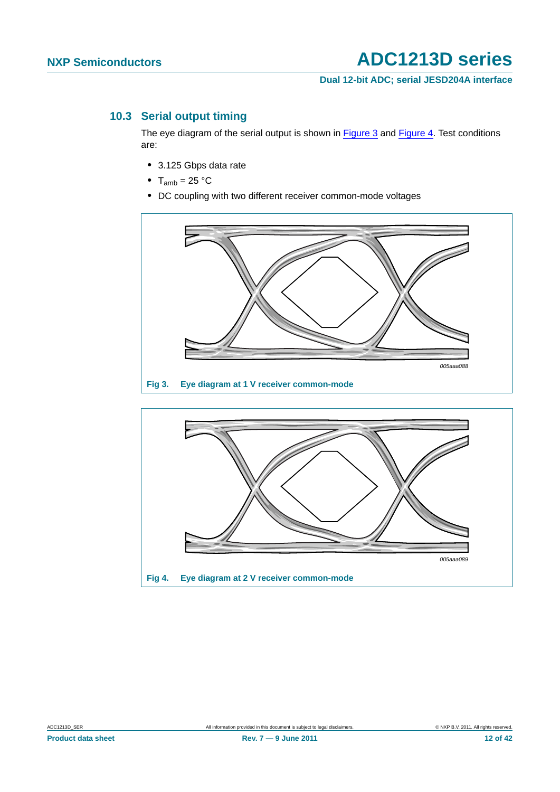**Dual 12-bit ADC; serial JESD204A interface**

#### <span id="page-11-2"></span>**10.3 Serial output timing**

The eye diagram of the serial output is shown in [Figure 3](#page-11-0) and [Figure 4.](#page-11-1) Test conditions are:

- **•** 3.125 Gbps data rate
- $T_{amb} = 25 \text{ °C}$
- **•** DC coupling with two different receiver common-mode voltages



<span id="page-11-1"></span><span id="page-11-0"></span>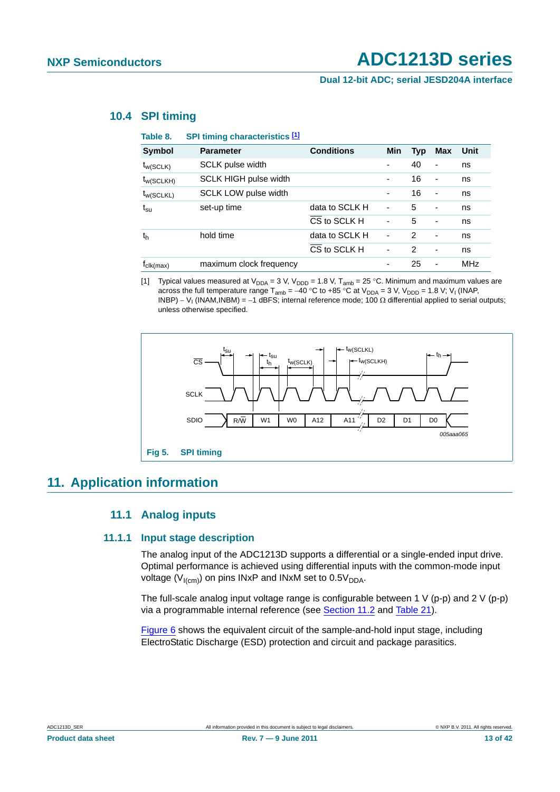**Dual 12-bit ADC; serial JESD204A interface**

| Table 8.              | <b>SPI timing characteristics [1]</b> |                   |                          |                |                          |      |
|-----------------------|---------------------------------------|-------------------|--------------------------|----------------|--------------------------|------|
| <b>Symbol</b>         | <b>Parameter</b>                      | <b>Conditions</b> | Min                      | <b>Typ</b>     | Max                      | Unit |
| $t_{W(SCLK)}$         | <b>SCLK pulse width</b>               |                   |                          | 40             | $\overline{\phantom{0}}$ | ns   |
| $t_{W(SCLKH)}$        | SCLK HIGH pulse width                 |                   | ٠                        | 16             | $\overline{\phantom{0}}$ | ns   |
| $t_{W(SCLKL)}$        | SCLK LOW pulse width                  |                   | ٠                        | 16             | $\overline{\phantom{0}}$ | ns   |
| $t_{\rm su}$          | set-up time                           | data to SCLK H    | $\blacksquare$           | 5              | $\overline{\phantom{0}}$ | ns   |
|                       |                                       | CS to SCLK H      | ٠                        | 5              | $\overline{\phantom{0}}$ | ns   |
| t <sub>h</sub>        | hold time                             | data to SCLK H    | $\overline{\phantom{0}}$ | $\overline{2}$ |                          | ns   |
|                       |                                       | CS to SCLK H      | ٠                        | $\mathfrak{p}$ | ۰                        | ns   |
| $I_{\text{clk(max)}}$ | maximum clock frequency               |                   |                          | 25             | $\overline{\phantom{0}}$ | MHz  |

#### <span id="page-12-1"></span>**10.4 SPI timing**

<span id="page-12-0"></span>[1] Typical values measured at  $V_{DDA} = 3$  V,  $V_{DDD} = 1.8$  V,  $T_{amb} = 25$  °C. Minimum and maximum values are across the full temperature range  $T_{amb} = -40$  °C to +85 °C at  $V_{DDA} = 3$  V,  $V_{DDD} = 1.8$  V; V<sub>I</sub> (INAP, INBP)  $- V<sub>1</sub>$  (INAM,INBM) = -1 dBFS; internal reference mode; 100  $\Omega$  differential applied to serial outputs; unless otherwise specified.



### <span id="page-12-3"></span><span id="page-12-2"></span>**11. Application information**

#### **11.1 Analog inputs**

#### <span id="page-12-4"></span>**11.1.1 Input stage description**

The analog input of the ADC1213D supports a differential or a single-ended input drive. Optimal performance is achieved using differential inputs with the common-mode input voltage ( $V_{I(cm)}$ ) on pins INxP and INxM set to 0.5 $V_{DDA}$ .

The full-scale analog input voltage range is configurable between 1 V (p-p) and 2 V (p-p) via a programmable internal reference (see [Section 11.2](#page-15-0) and [Table 21\)](#page-27-0).

[Figure 6](#page-13-0) shows the equivalent circuit of the sample-and-hold input stage, including ElectroStatic Discharge (ESD) protection and circuit and package parasitics.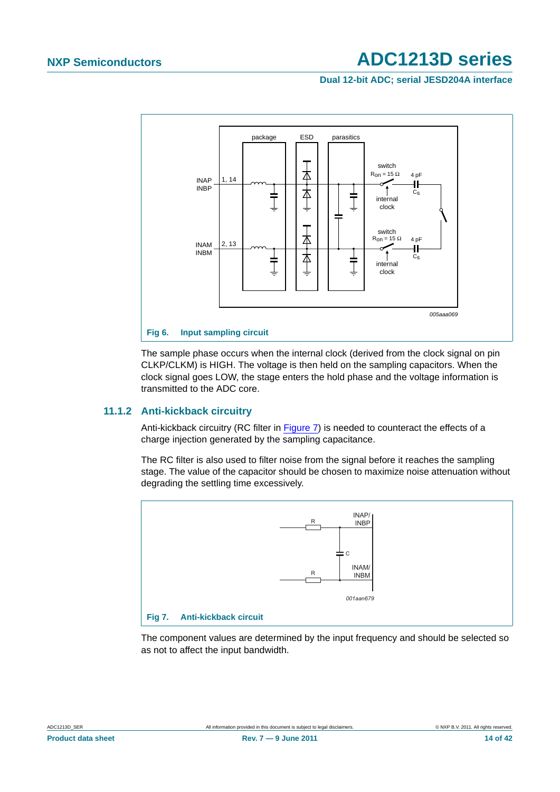**Dual 12-bit ADC; serial JESD204A interface**



<span id="page-13-0"></span>The sample phase occurs when the internal clock (derived from the clock signal on pin CLKP/CLKM) is HIGH. The voltage is then held on the sampling capacitors. When the clock signal goes LOW, the stage enters the hold phase and the voltage information is transmitted to the ADC core.

#### <span id="page-13-2"></span>**11.1.2 Anti-kickback circuitry**

Anti-kickback circuitry (RC filter in [Figure 7](#page-13-1)) is needed to counteract the effects of a charge injection generated by the sampling capacitance.

The RC filter is also used to filter noise from the signal before it reaches the sampling stage. The value of the capacitor should be chosen to maximize noise attenuation without degrading the settling time excessively.



<span id="page-13-1"></span>The component values are determined by the input frequency and should be selected so as not to affect the input bandwidth.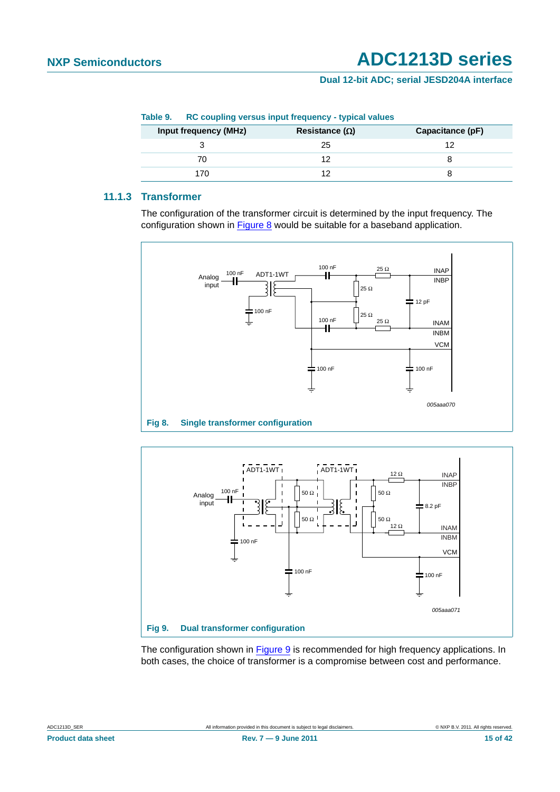#### **Dual 12-bit ADC; serial JESD204A interface**

| <b>Input frequency (MHz)</b> | Resistance ( $\Omega$ ) | Capacitance (pF) |
|------------------------------|-------------------------|------------------|
|                              | 25                      |                  |
| 70                           |                         |                  |
| 170                          |                         |                  |

**Table 9. RC coupling versus input frequency - typical values**

#### <span id="page-14-2"></span>**11.1.3 Transformer**

The configuration of the transformer circuit is determined by the input frequency. The configuration shown in [Figure 8](#page-14-0) would be suitable for a baseband application.



<span id="page-14-0"></span>



<span id="page-14-1"></span>The configuration shown in [Figure 9](#page-14-1) is recommended for high frequency applications. In both cases, the choice of transformer is a compromise between cost and performance.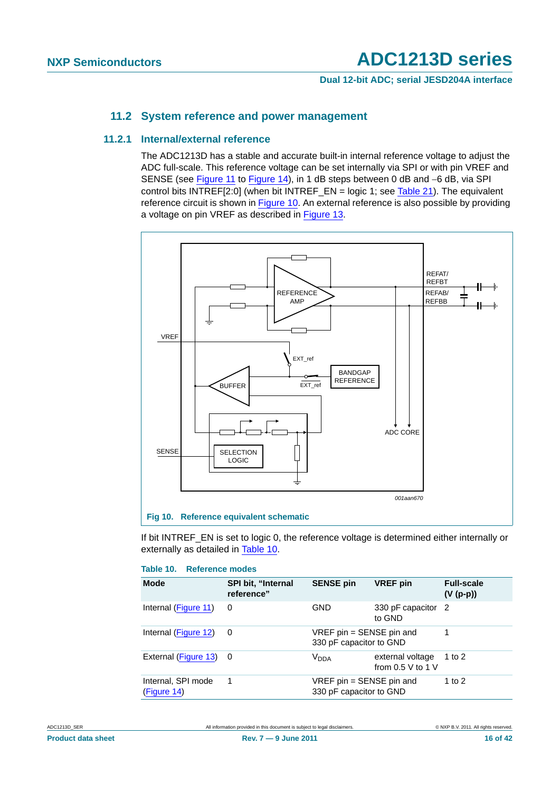**Dual 12-bit ADC; serial JESD204A interface**

#### **11.2 System reference and power management**

#### <span id="page-15-3"></span><span id="page-15-0"></span>**11.2.1 Internal/external reference**

The ADC1213D has a stable and accurate built-in internal reference voltage to adjust the ADC full-scale. This reference voltage can be set internally via SPI or with pin VREF and SENSE (see [Figure 11](#page-16-0) to [Figure 14\)](#page-16-1), in 1 dB steps between 0 dB and -6 dB, via SPI control bits INTREF[2:0] (when bit INTREF\_EN = logic 1; see [Table 21\)](#page-27-0). The equivalent reference circuit is shown in [Figure 10.](#page-15-2) An external reference is also possible by providing a voltage on pin VREF as described in [Figure 13.](#page-16-2)



<span id="page-15-2"></span>If bit INTREF\_EN is set to logic 0, the reference voltage is determined either internally or externally as detailed in [Table 10.](#page-15-1)

#### <span id="page-15-1"></span>**Table 10. Reference modes**

| <b>Mode</b>                       | <b>SPI bit, "Internal</b><br>reference" | <b>SENSE pin</b>                                      | <b>VREF</b> pin                         | <b>Full-scale</b><br>$(V (p-p))$ |
|-----------------------------------|-----------------------------------------|-------------------------------------------------------|-----------------------------------------|----------------------------------|
| Internal (Figure 11)              | 0                                       | <b>GND</b>                                            | 330 pF capacitor<br>to GND              | $\mathcal{P}$                    |
| Internal (Figure 12)              | 0                                       | $VREF$ pin = SENSE pin and<br>330 pF capacitor to GND |                                         | 1                                |
| External (Figure 13)              | - 0                                     | V <sub>DDA</sub>                                      | external voltage<br>from $0.5$ V to 1 V | 1 to $2$                         |
| Internal, SPI mode<br>(Figure 14) | 1                                       | $VREF$ pin = SENSE pin and<br>330 pF capacitor to GND |                                         | 1 to $2$                         |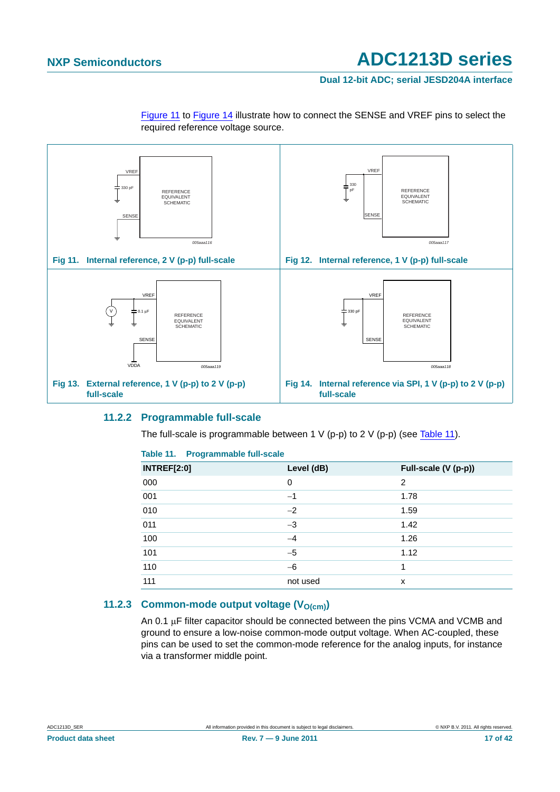<span id="page-16-3"></span>**Dual 12-bit ADC; serial JESD204A interface**

<span id="page-16-0"></span>

[Figure 11](#page-16-0) to [Figure 14](#page-16-1) illustrate how to connect the SENSE and VREF pins to select the required reference voltage source.

#### <span id="page-16-5"></span><span id="page-16-2"></span>**11.2.2 Programmable full-scale**

<span id="page-16-1"></span>The full-scale is programmable between 1 V (p-p) to 2 V (p-p) (see [Table 11\)](#page-16-4).

| <b>INTREF[2:0]</b> | Level (dB) | Full-scale (V (p-p)) |
|--------------------|------------|----------------------|
| 000                | 0          | 2                    |
| 001                | $-1$       | 1.78                 |
| 010                | $-2$       | 1.59                 |
| 011                | $-3$       | 1.42                 |
| 100                | $-4$       | 1.26                 |
| 101                | $-5$       | 1.12                 |
| 110                | $-6$       | 1                    |
| 111                | not used   | x                    |

#### <span id="page-16-4"></span>**Table 11. Programmable full-scale**

#### <span id="page-16-6"></span>**11.2.3 Common-mode output voltage (V<sub>O(cm)</sub>)**

An 0.1  $\mu$ F filter capacitor should be connected between the pins VCMA and VCMB and ground to ensure a low-noise common-mode output voltage. When AC-coupled, these pins can be used to set the common-mode reference for the analog inputs, for instance via a transformer middle point.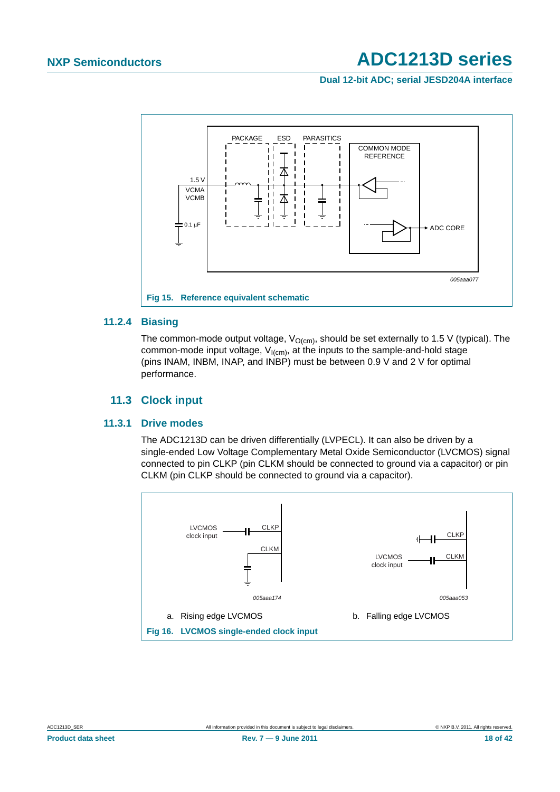**Dual 12-bit ADC; serial JESD204A interface**



#### <span id="page-17-0"></span>**11.2.4 Biasing**

The common-mode output voltage,  $V_{O(cm)}$ , should be set externally to 1.5 V (typical). The common-mode input voltage,  $V_{I(cm)}$ , at the inputs to the sample-and-hold stage (pins INAM, INBM, INAP, and INBP) must be between 0.9 V and 2 V for optimal performance.

#### **11.3 Clock input**

#### <span id="page-17-2"></span><span id="page-17-1"></span>**11.3.1 Drive modes**

The ADC1213D can be driven differentially (LVPECL). It can also be driven by a single-ended Low Voltage Complementary Metal Oxide Semiconductor (LVCMOS) signal connected to pin CLKP (pin CLKM should be connected to ground via a capacitor) or pin CLKM (pin CLKP should be connected to ground via a capacitor).

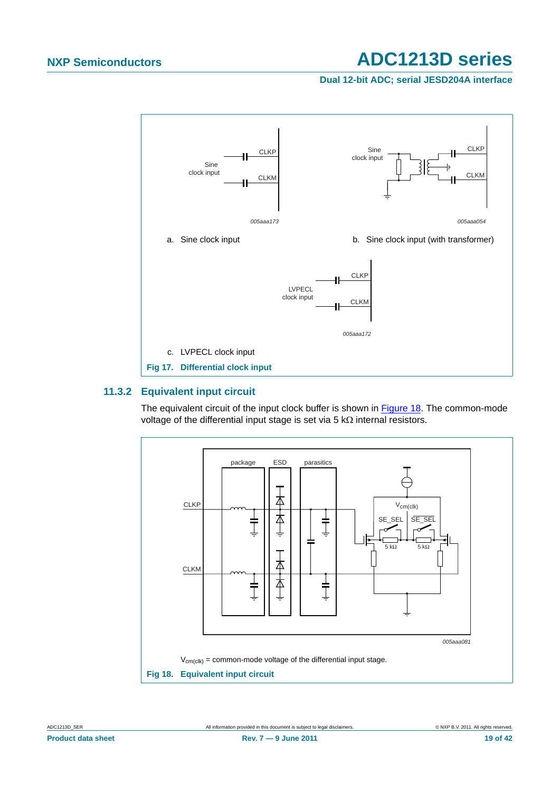**Dual 12-bit ADC; serial JESD204A interface**



#### <span id="page-18-1"></span>**11.3.2 Equivalent input circuit**

The equivalent circuit of the input clock buffer is shown in [Figure 18.](#page-18-0) The common-mode voltage of the differential input stage is set via 5  $k\Omega$  internal resistors.

<span id="page-18-0"></span>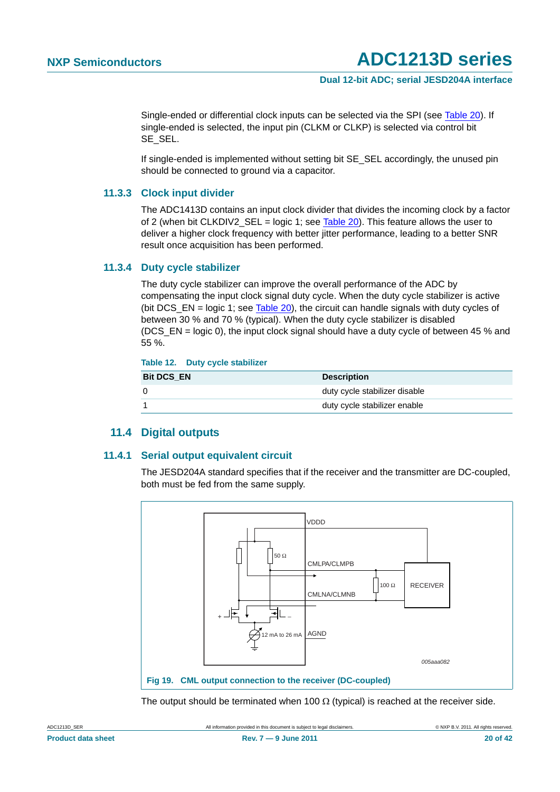#### **Dual 12-bit ADC; serial JESD204A interface**

Single-ended or differential clock inputs can be selected via the SPI (see [Table 20\)](#page-26-0). If single-ended is selected, the input pin (CLKM or CLKP) is selected via control bit SE\_SEL.

If single-ended is implemented without setting bit SE\_SEL accordingly, the unused pin should be connected to ground via a capacitor.

#### <span id="page-19-0"></span>**11.3.3 Clock input divider**

The ADC1413D contains an input clock divider that divides the incoming clock by a factor of 2 (when bit CLKDIV2  $SEL =$  logic 1; see [Table 20](#page-26-0)). This feature allows the user to deliver a higher clock frequency with better jitter performance, leading to a better SNR result once acquisition has been performed.

#### <span id="page-19-1"></span>**11.3.4 Duty cycle stabilizer**

The duty cycle stabilizer can improve the overall performance of the ADC by compensating the input clock signal duty cycle. When the duty cycle stabilizer is active (bit DCS\_EN = logic 1; see [Table 20\)](#page-26-0), the circuit can handle signals with duty cycles of between 30 % and 70 % (typical). When the duty cycle stabilizer is disabled (DCS EN = logic 0), the input clock signal should have a duty cycle of between 45 % and 55 %.

**Table 12. Duty cycle stabilizer**

| <b>Bit DCS EN</b> | <b>Description</b>            |
|-------------------|-------------------------------|
|                   | duty cycle stabilizer disable |
|                   | duty cycle stabilizer enable  |

#### **11.4 Digital outputs**

#### <span id="page-19-3"></span><span id="page-19-2"></span>**11.4.1 Serial output equivalent circuit**

The JESD204A standard specifies that if the receiver and the transmitter are DC-coupled, both must be fed from the same supply.



The output should be terminated when 100  $\Omega$  (typical) is reached at the receiver side.

ADC1213D SER ALl information provided in this document is subject to legal disclaimers. 
All information provided in this document is subject to legal disclaimers.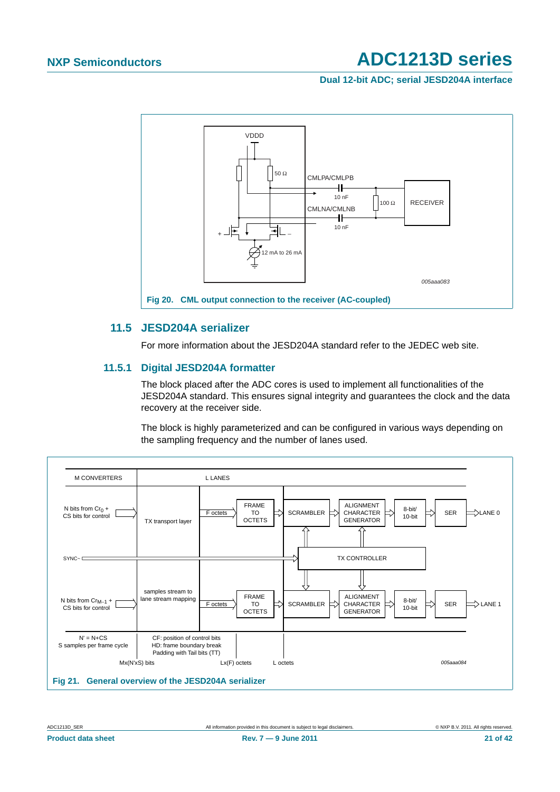**Dual 12-bit ADC; serial JESD204A interface**



#### <span id="page-20-0"></span>**11.5 JESD204A serializer**

For more information about the JESD204A standard refer to the JEDEC web site.

#### <span id="page-20-1"></span>**11.5.1 Digital JESD204A formatter**

The block placed after the ADC cores is used to implement all functionalities of the JESD204A standard. This ensures signal integrity and guarantees the clock and the data recovery at the receiver side.

The block is highly parameterized and can be configured in various ways depending on the sampling frequency and the number of lanes used.

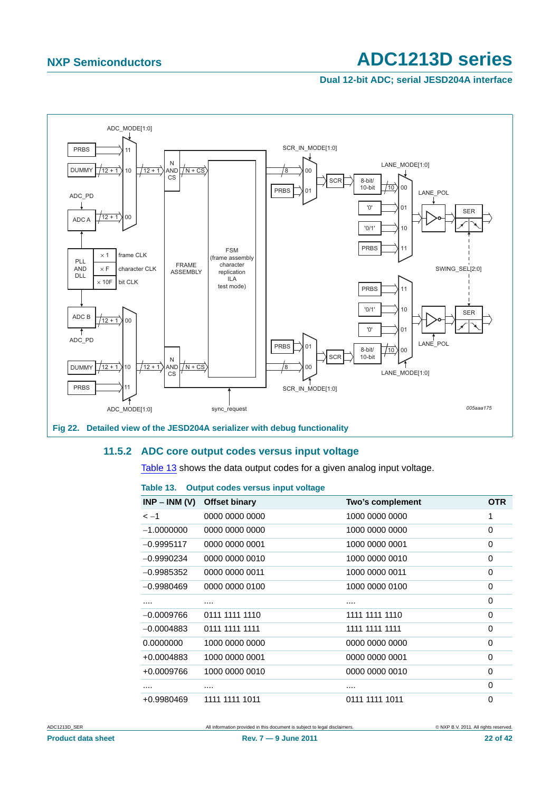#### **Dual 12-bit ADC; serial JESD204A interface**



#### <span id="page-21-1"></span>**11.5.2 ADC core output codes versus input voltage**

[Table 13](#page-21-0) shows the data output codes for a given analog input voltage.

#### <span id="page-21-0"></span>**Table 13. Output codes versus input voltage**

| $INP - INM (V)$ | <b>Offset binary</b> | Two's complement | <b>OTR</b> |
|-----------------|----------------------|------------------|------------|
| $\lt -1$        | 0000 0000 0000       | 1000 0000 0000   | 1          |
| $-1.0000000$    | 0000 0000 0000       | 1000 0000 0000   | 0          |
| $-0.9995117$    | 0000 0000 0001       | 1000 0000 0001   | 0          |
| $-0.9990234$    | 0000 0000 0010       | 1000 0000 0010   | 0          |
| $-0.9985352$    | 0000 0000 0011       | 1000 0000 0011   | 0          |
| $-0.9980469$    | 0000 0000 0100       | 1000 0000 0100   | 0          |
| .               |                      |                  | 0          |
| $-0.0009766$    | 0111 1111 1110       | 1111 1111 1110   | 0          |
| $-0.0004883$    | 0111 1111 1111       | 1111 1111 1111   | 0          |
| 0.0000000       | 1000 0000 0000       | 0000 0000 0000   | 0          |
| +0.0004883      | 1000 0000 0001       | 0000 0000 0001   | 0          |
| +0.0009766      | 1000 0000 0010       | 0000 0000 0010   | $\Omega$   |
|                 | .                    |                  | 0          |
| +0.9980469      | 1111 1111 1011       | 0111 1111 1011   | $\Omega$   |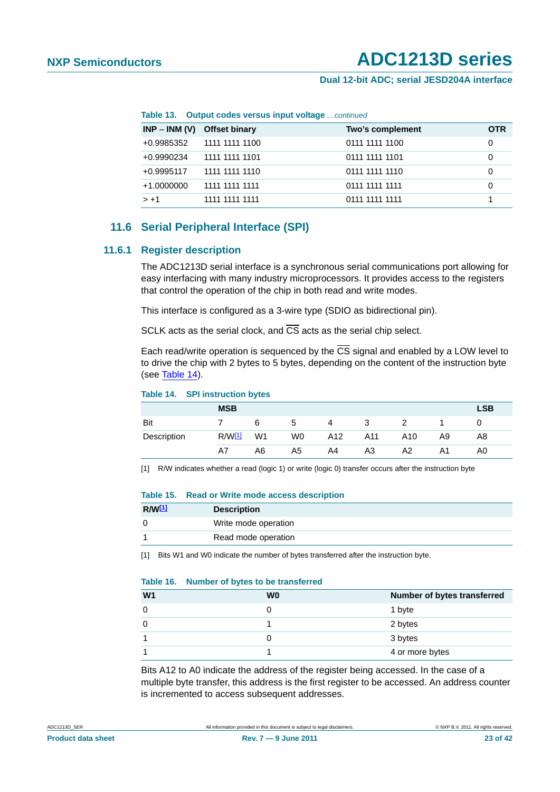#### **Dual 12-bit ADC; serial JESD204A interface**

|                 | <b>Rapig 13. Uniput cours versus imput voltage</b> committed |                  |            |  |  |  |  |  |
|-----------------|--------------------------------------------------------------|------------------|------------|--|--|--|--|--|
| $INP - INM (V)$ | <b>Offset binary</b>                                         | Two's complement | <b>OTR</b> |  |  |  |  |  |
| +0.9985352      | 1111 1111 1100                                               | 0111 1111 1100   | 0          |  |  |  |  |  |
| +0.9990234      | 1111 1111 1101                                               | 0111 1111 1101   | 0          |  |  |  |  |  |
| +0.9995117      | 1111 1111 1110                                               | 0111 1111 1110   | 0          |  |  |  |  |  |
| +1.0000000      | 1111 1111 1111                                               | 0111 1111 1111   | 0          |  |  |  |  |  |
| $> +1$          | 1111 1111 1111                                               | 0111 1111 1111   |            |  |  |  |  |  |

**Table 13. Output codes versus input voltage** *…continued*

#### **11.6 Serial Peripheral Interface (SPI)**

#### <span id="page-22-4"></span><span id="page-22-3"></span>**11.6.1 Register description**

The ADC1213D serial interface is a synchronous serial communications port allowing for easy interfacing with many industry microprocessors. It provides access to the registers that control the operation of the chip in both read and write modes.

This interface is configured as a 3-wire type (SDIO as bidirectional pin).

SCLK acts as the serial clock, and  $\overline{CS}$  acts as the serial chip select.

Each read/write operation is sequenced by the  $\overline{\text{CS}}$  signal and enabled by a LOW level to to drive the chip with 2 bytes to 5 bytes, depending on the content of the instruction byte (see [Table 14](#page-22-0)).

#### <span id="page-22-0"></span>**Table 14. SPI instruction bytes**

|             | <b>MSB</b>     |                |                |     |     |     |    | <b>LSB</b> |
|-------------|----------------|----------------|----------------|-----|-----|-----|----|------------|
| Bit         |                | 6              | '5             | 4   | 3   |     |    |            |
| Description | R/W <u>[1]</u> | W <sub>1</sub> | W <sub>0</sub> | A12 | A11 | A10 | A9 | A8         |
|             | A7             | A6             | A5             | A4  | A3  | A2  | A1 | A0.        |

<span id="page-22-1"></span>[1] R/W indicates whether a read (logic 1) or write (logic 0) transfer occurs after the instruction byte

#### **Table 15. Read or Write mode access description**

| R/W[1] | <b>Description</b>   |
|--------|----------------------|
|        | Write mode operation |
| 4      | Read mode operation  |

<span id="page-22-2"></span>[1] Bits W1 and W0 indicate the number of bytes transferred after the instruction byte.

#### **Table 16. Number of bytes to be transferred**

| W <sub>1</sub> | W <sub>0</sub> | Number of bytes transferred |
|----------------|----------------|-----------------------------|
|                |                | 1 byte                      |
|                |                | 2 bytes                     |
|                |                | 3 bytes                     |
|                |                | 4 or more bytes             |

Bits A12 to A0 indicate the address of the register being accessed. In the case of a multiple byte transfer, this address is the first register to be accessed. An address counter is incremented to access subsequent addresses.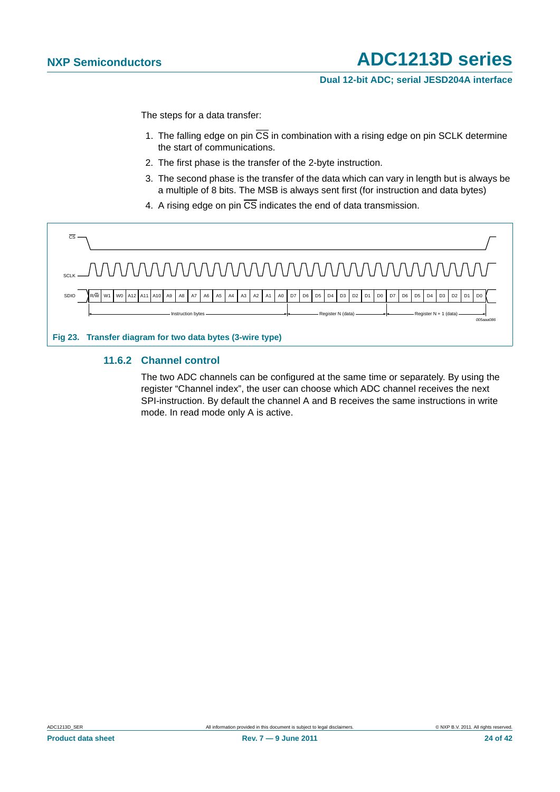**Dual 12-bit ADC; serial JESD204A interface**

The steps for a data transfer:

- 1. The falling edge on pin  $\overline{CS}$  in combination with a rising edge on pin SCLK determine the start of communications.
- 2. The first phase is the transfer of the 2-byte instruction.
- 3. The second phase is the transfer of the data which can vary in length but is always be a multiple of 8 bits. The MSB is always sent first (for instruction and data bytes)
- 4. A rising edge on pin  $\overline{\text{CS}}$  indicates the end of data transmission.



#### <span id="page-23-0"></span>**11.6.2 Channel control**

The two ADC channels can be configured at the same time or separately. By using the register "Channel index", the user can choose which ADC channel receives the next SPI-instruction. By default the channel A and B receives the same instructions in write mode. In read mode only A is active.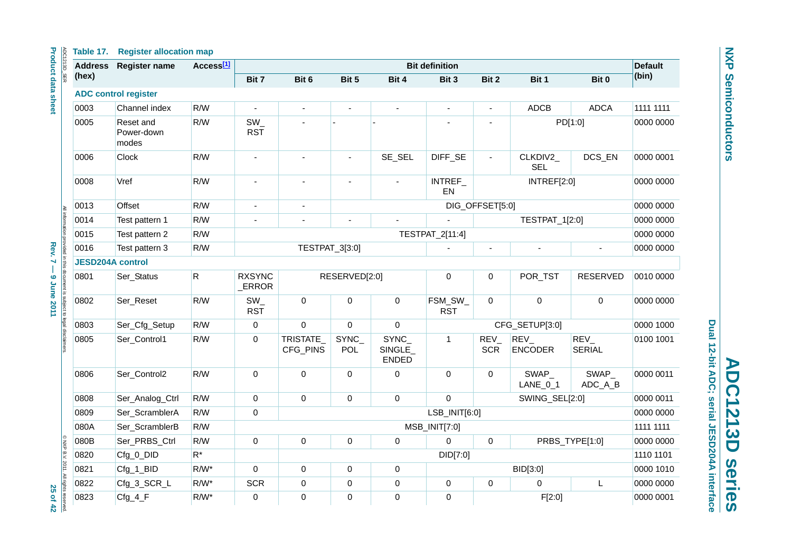| ı      |
|--------|
|        |
| ١      |
| ٦      |
|        |
|        |
| ı      |
| l      |
|        |
| j<br>ı |

Dual 12-bit ADC; serial JESD204A interface **Dual 12-bit ADC; serial JESD204A interface** ADC1213D series **ADC1213D series**

#### **Table 17. Register allocation map**

| 4DC1213D                         | <b>Address</b>          | <b>Register name</b>             | Access <sup>[1]</sup> |                          |                      |                     |                                  | <b>Bit definition</b> |                          |                          |                       | <b>Default</b> |
|----------------------------------|-------------------------|----------------------------------|-----------------------|--------------------------|----------------------|---------------------|----------------------------------|-----------------------|--------------------------|--------------------------|-----------------------|----------------|
| <b>Product data sheet</b><br>SER | (hex)                   |                                  |                       | Bit 7                    | Bit 6                | Bit 5               | Bit 4                            | Bit 3                 | Bit 2                    | Bit 1                    | Bit 0                 | (bin)          |
|                                  |                         | <b>ADC control register</b>      |                       |                          |                      |                     |                                  |                       |                          |                          |                       |                |
|                                  | 0003                    | Channel index                    | R/W                   | ÷,                       | $\blacksquare$       | $\sim$              | ä,                               | $\overline{a}$        | $\overline{\phantom{a}}$ | <b>ADCB</b>              | <b>ADCA</b>           | 1111 1111      |
|                                  | 0005                    | Reset and<br>Power-down<br>modes | R/W                   | SW_<br><b>RST</b>        |                      |                     |                                  |                       |                          |                          | PD[1:0]               | 0000 0000      |
|                                  | 0006                    | Clock                            | R/W                   | $\blacksquare$           | ä,                   | $\blacksquare$      | SE_SEL                           | DIFF_SE               | $\overline{\phantom{a}}$ | CLKDIV2_<br><b>SEL</b>   | DCS_EN                | 0000 0001      |
|                                  | 0008                    | Vref                             | R/W                   | $\overline{\phantom{a}}$ |                      | $\sim$              |                                  | INTREF_<br>EN         |                          | INTREF[2:0]              |                       | 0000 0000      |
|                                  | 0013                    | Offset                           | R/W                   | $\sim$                   | ä,                   |                     |                                  |                       | DIG_OFFSET[5:0]          |                          |                       | 0000 0000      |
| All inform                       | 0014                    | Test pattern 1                   | R/W                   |                          |                      |                     | ä,                               | L.                    |                          | TESTPAT_1[2:0]           |                       | 0000 0000      |
|                                  | 0015                    | Test pattern 2                   | R/W                   |                          |                      |                     |                                  | TESTPAT_2[11:4]       |                          |                          |                       | 0000 0000      |
| Rev.                             | 0016                    | Test pattern 3                   | R/W                   |                          | TESTPAT_3[3:0]       |                     |                                  |                       |                          |                          |                       | 0000 0000      |
| Ñ                                | <b>JESD204A control</b> |                                  |                       |                          |                      |                     |                                  |                       |                          |                          |                       |                |
| ided in this document is s       | 0801                    | Ser_Status                       | R                     | <b>RXSYNC</b><br>_ERROR  |                      | RESERVED[2:0]       |                                  | 0                     | 0                        | POR_TST                  | <b>RESERVED</b>       | 0010 0000      |
| 9 June 2011                      | 0802                    | Ser_Reset                        | R/W                   | $SW_$<br><b>RST</b>      | 0                    | $\Omega$            | $\pmb{0}$                        | FSM_SW_<br><b>RST</b> | $\mathbf 0$              | $\pmb{0}$                | $\mathbf 0$           | 0000 0000      |
| tt to legal                      | 0803                    | Ser_Cfg_Setup                    | R/W                   | 0                        | $\pmb{0}$            | $\mathbf 0$         | 0                                |                       |                          | CFG_SETUP[3:0]           |                       | 0000 1000      |
|                                  | 0805                    | Ser_Control1                     | R/W                   | $\pmb{0}$                | TRISTATE<br>CFG_PINS | SYNC_<br><b>POL</b> | SYNC_<br>SINGLE_<br><b>ENDED</b> | $\mathbf{1}$          | REV_<br><b>SCR</b>       | $REV_$<br><b>ENCODER</b> | REV_<br><b>SERIAL</b> | 0100 1001      |
|                                  | 0806                    | Ser Control2                     | R/W                   | $\pmb{0}$                | 0                    | $\mathbf 0$         | 0                                | 0                     | 0                        | SWAP_<br>$LANE_0_1$      | SWAP_<br>ADC_A_B      | 0000 0011      |
|                                  | 0808                    | Ser_Analog_Ctrl                  | R/W                   | $\pmb{0}$                | $\pmb{0}$            | $\mathbf 0$         | $\mathbf 0$                      | 0                     |                          | SWING_SEL[2:0]           |                       | 0000 0011      |
|                                  | 0809                    | Ser_ScramblerA                   | R/W                   | $\pmb{0}$                |                      |                     |                                  | LSB_INIT[6:0]         |                          |                          |                       | 0000 0000      |
|                                  | 080A                    | Ser_ScramblerB                   | R/W                   |                          |                      |                     |                                  | MSB_INIT[7:0]         |                          |                          |                       | 1111 1111      |
|                                  | 080B                    | Ser_PRBS_Ctrl                    | R/W                   | $\pmb{0}$                | $\pmb{0}$            | 0                   | 0                                | 0                     | 0                        |                          | PRBS_TYPE[1:0]        | 0000 0000      |
| ONXP B.V. 2011. All rights rese  | 0820                    | Cfg_0_DID                        | $R^*$                 |                          |                      |                     |                                  | DID[7:0]              |                          |                          |                       | 1110 1101      |
|                                  | 0821                    | Cfg_1_BID                        | $R/W^*$               | $\pmb{0}$                | 0                    | $\mathbf 0$         | 0                                |                       |                          | BID[3:0]                 |                       | 0000 1010      |
|                                  | 0822                    | Cfg_3_SCR_L                      | $R/W^*$               | <b>SCR</b>               | $\pmb{0}$            | $\pmb{0}$           | 0                                | $\pmb{0}$             | 0                        | $\mathbf 0$              | L                     | 0000 0000      |
| 25 of<br>43<br>$\frac{1}{2}$     | 0823                    | $Cfg_4_F$                        | $R/W^*$               | $\mathbf 0$              | $\mathbf 0$          | $\Omega$            | 0                                | 0                     |                          | F[2:0]                   |                       | 0000 0001      |

rights reserved.<br>25 of 42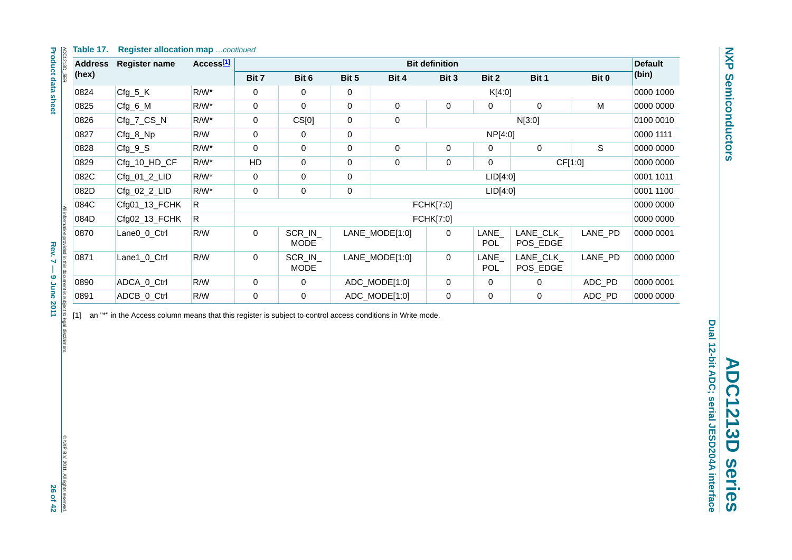| Bit 6<br>Bit 2<br>Bit 1<br>Bit 0<br>Bit 7<br>Bit 5<br>Bit 4<br>Bit 3<br>$R/W^*$<br>0824<br>$Cfg_5_K$<br>$\pmb{0}$<br>$\pmb{0}$<br>$\pmb{0}$<br>K[4:0]<br>0825<br>Cfg_6_M<br>$R/W^*$<br>$\pmb{0}$<br>$\mathbf 0$<br>$\pmb{0}$<br>M<br>0<br>0<br>0<br>$\mathsf{O}$<br>Cfg_7_CS_N<br>$R/W^*$<br>CS[0]<br>$\pmb{0}$<br>$\mathsf 0$<br>N[3:0]<br>0826<br>$\pmb{0}$<br>R/W<br>$\pmb{0}$<br>$\pmb{0}$<br>$\mathbf 0$<br>0827<br>Cfg_8_Np<br>NP[4:0]<br>$\mathsf S$<br>$Cfg_9_S$<br>$R/W^*$<br>$\mathsf 0$<br>$\mathsf 0$<br>$\pmb{0}$<br>$\pmb{0}$<br>$\mathsf{O}\xspace$<br>0828<br>$\mathbf 0$<br>0<br>$R/W^*$<br>$\pmb{0}$<br>$\mathsf 0$<br>CF[1:0]<br>0829<br>Cfg_10_HD_CF<br>HD<br>$\pmb{0}$<br>$\mathbf 0$<br>$\mathbf 0$<br>Cfg_01_2_LID<br>$\mathsf 0$<br>$\pmb{0}$<br>082C<br>$R/W^*$<br>$\pmb{0}$<br>LID[4:0]<br>082D<br>Cfg_02_2_LID<br>$R/W^*$<br>$\mathsf 0$<br>$\pmb{0}$<br>$\mathbf 0$<br>LID[4:0]<br>084C<br>Cfg01_13_FCHK<br>FCHK[7:0]<br>$\mathsf{R}$<br>084D<br>FCHK[7:0]<br>Cfg02_13_FCHK<br>$\mathsf{R}$<br>0870<br>Lane0_0_Ctrl<br>R/W<br>$\pmb{0}$<br>SCR_IN_<br>LANE_MODE[1:0]<br>LANE<br>LANE_CLK<br>LANE_PD<br>$\mathsf 0$<br><b>POL</b><br>POS_EDGE<br><b>MODE</b><br>R/W<br>$\mathsf 0$<br>$\mathbf 0$<br>LANE_CLK<br>0871<br>Lane1_0_Ctrl<br>SCR_IN_<br>LANE_MODE[1:0]<br>LANE_<br>LANE_PD<br><b>POL</b><br>POS_EDGE<br><b>MODE</b><br>$\mathsf 0$<br>ADCA_0_Ctrl<br>R/W<br>$\pmb{0}$<br>ADC_MODE[1:0]<br>$\pmb{0}$<br>ADC_PD<br>0<br>$\mathsf{O}$<br>$\mathsf 0$<br>$\pmb{0}$<br>0891<br>ADCB_0_Ctrl<br>R/W<br>ADC_MODE[1:0]<br>$\mathbf 0$<br>0<br>$\mathbf 0$<br>ADC_PD<br>[1] an "*" in the Access column means that this register is subject to control access conditions in Write mode. | <b>Address</b> | Register name | Access[1] | <b>Bit definition</b> |  |  |  |  |  |  |  |           |  |
|----------------------------------------------------------------------------------------------------------------------------------------------------------------------------------------------------------------------------------------------------------------------------------------------------------------------------------------------------------------------------------------------------------------------------------------------------------------------------------------------------------------------------------------------------------------------------------------------------------------------------------------------------------------------------------------------------------------------------------------------------------------------------------------------------------------------------------------------------------------------------------------------------------------------------------------------------------------------------------------------------------------------------------------------------------------------------------------------------------------------------------------------------------------------------------------------------------------------------------------------------------------------------------------------------------------------------------------------------------------------------------------------------------------------------------------------------------------------------------------------------------------------------------------------------------------------------------------------------------------------------------------------------------------------------------------------------------------------|----------------|---------------|-----------|-----------------------|--|--|--|--|--|--|--|-----------|--|
|                                                                                                                                                                                                                                                                                                                                                                                                                                                                                                                                                                                                                                                                                                                                                                                                                                                                                                                                                                                                                                                                                                                                                                                                                                                                                                                                                                                                                                                                                                                                                                                                                                                                                                                      | (hex)          |               |           |                       |  |  |  |  |  |  |  | (bin)     |  |
|                                                                                                                                                                                                                                                                                                                                                                                                                                                                                                                                                                                                                                                                                                                                                                                                                                                                                                                                                                                                                                                                                                                                                                                                                                                                                                                                                                                                                                                                                                                                                                                                                                                                                                                      |                |               |           |                       |  |  |  |  |  |  |  | 0000 1000 |  |
|                                                                                                                                                                                                                                                                                                                                                                                                                                                                                                                                                                                                                                                                                                                                                                                                                                                                                                                                                                                                                                                                                                                                                                                                                                                                                                                                                                                                                                                                                                                                                                                                                                                                                                                      |                |               |           |                       |  |  |  |  |  |  |  | 0000 0000 |  |
|                                                                                                                                                                                                                                                                                                                                                                                                                                                                                                                                                                                                                                                                                                                                                                                                                                                                                                                                                                                                                                                                                                                                                                                                                                                                                                                                                                                                                                                                                                                                                                                                                                                                                                                      |                |               |           |                       |  |  |  |  |  |  |  | 0100 0010 |  |
|                                                                                                                                                                                                                                                                                                                                                                                                                                                                                                                                                                                                                                                                                                                                                                                                                                                                                                                                                                                                                                                                                                                                                                                                                                                                                                                                                                                                                                                                                                                                                                                                                                                                                                                      |                |               |           |                       |  |  |  |  |  |  |  | 0000 1111 |  |
|                                                                                                                                                                                                                                                                                                                                                                                                                                                                                                                                                                                                                                                                                                                                                                                                                                                                                                                                                                                                                                                                                                                                                                                                                                                                                                                                                                                                                                                                                                                                                                                                                                                                                                                      |                |               |           |                       |  |  |  |  |  |  |  | 0000 0000 |  |
|                                                                                                                                                                                                                                                                                                                                                                                                                                                                                                                                                                                                                                                                                                                                                                                                                                                                                                                                                                                                                                                                                                                                                                                                                                                                                                                                                                                                                                                                                                                                                                                                                                                                                                                      |                |               |           |                       |  |  |  |  |  |  |  | 0000 0000 |  |
|                                                                                                                                                                                                                                                                                                                                                                                                                                                                                                                                                                                                                                                                                                                                                                                                                                                                                                                                                                                                                                                                                                                                                                                                                                                                                                                                                                                                                                                                                                                                                                                                                                                                                                                      |                |               |           |                       |  |  |  |  |  |  |  | 0001 1011 |  |
|                                                                                                                                                                                                                                                                                                                                                                                                                                                                                                                                                                                                                                                                                                                                                                                                                                                                                                                                                                                                                                                                                                                                                                                                                                                                                                                                                                                                                                                                                                                                                                                                                                                                                                                      |                |               |           |                       |  |  |  |  |  |  |  | 0001 1100 |  |
|                                                                                                                                                                                                                                                                                                                                                                                                                                                                                                                                                                                                                                                                                                                                                                                                                                                                                                                                                                                                                                                                                                                                                                                                                                                                                                                                                                                                                                                                                                                                                                                                                                                                                                                      |                |               |           |                       |  |  |  |  |  |  |  | 0000 0000 |  |
|                                                                                                                                                                                                                                                                                                                                                                                                                                                                                                                                                                                                                                                                                                                                                                                                                                                                                                                                                                                                                                                                                                                                                                                                                                                                                                                                                                                                                                                                                                                                                                                                                                                                                                                      |                |               |           |                       |  |  |  |  |  |  |  | 0000 0000 |  |
|                                                                                                                                                                                                                                                                                                                                                                                                                                                                                                                                                                                                                                                                                                                                                                                                                                                                                                                                                                                                                                                                                                                                                                                                                                                                                                                                                                                                                                                                                                                                                                                                                                                                                                                      |                |               |           |                       |  |  |  |  |  |  |  | 0000 0001 |  |
|                                                                                                                                                                                                                                                                                                                                                                                                                                                                                                                                                                                                                                                                                                                                                                                                                                                                                                                                                                                                                                                                                                                                                                                                                                                                                                                                                                                                                                                                                                                                                                                                                                                                                                                      |                |               |           |                       |  |  |  |  |  |  |  | 0000 0000 |  |
|                                                                                                                                                                                                                                                                                                                                                                                                                                                                                                                                                                                                                                                                                                                                                                                                                                                                                                                                                                                                                                                                                                                                                                                                                                                                                                                                                                                                                                                                                                                                                                                                                                                                                                                      | 0890           |               |           |                       |  |  |  |  |  |  |  | 0000 0001 |  |
|                                                                                                                                                                                                                                                                                                                                                                                                                                                                                                                                                                                                                                                                                                                                                                                                                                                                                                                                                                                                                                                                                                                                                                                                                                                                                                                                                                                                                                                                                                                                                                                                                                                                                                                      |                |               |           |                       |  |  |  |  |  |  |  | 0000 0000 |  |
|                                                                                                                                                                                                                                                                                                                                                                                                                                                                                                                                                                                                                                                                                                                                                                                                                                                                                                                                                                                                                                                                                                                                                                                                                                                                                                                                                                                                                                                                                                                                                                                                                                                                                                                      |                |               |           |                       |  |  |  |  |  |  |  |           |  |
|                                                                                                                                                                                                                                                                                                                                                                                                                                                                                                                                                                                                                                                                                                                                                                                                                                                                                                                                                                                                                                                                                                                                                                                                                                                                                                                                                                                                                                                                                                                                                                                                                                                                                                                      |                |               |           |                       |  |  |  |  |  |  |  |           |  |
|                                                                                                                                                                                                                                                                                                                                                                                                                                                                                                                                                                                                                                                                                                                                                                                                                                                                                                                                                                                                                                                                                                                                                                                                                                                                                                                                                                                                                                                                                                                                                                                                                                                                                                                      |                |               |           |                       |  |  |  |  |  |  |  |           |  |
|                                                                                                                                                                                                                                                                                                                                                                                                                                                                                                                                                                                                                                                                                                                                                                                                                                                                                                                                                                                                                                                                                                                                                                                                                                                                                                                                                                                                                                                                                                                                                                                                                                                                                                                      |                |               |           |                       |  |  |  |  |  |  |  |           |  |
|                                                                                                                                                                                                                                                                                                                                                                                                                                                                                                                                                                                                                                                                                                                                                                                                                                                                                                                                                                                                                                                                                                                                                                                                                                                                                                                                                                                                                                                                                                                                                                                                                                                                                                                      |                |               |           |                       |  |  |  |  |  |  |  |           |  |
|                                                                                                                                                                                                                                                                                                                                                                                                                                                                                                                                                                                                                                                                                                                                                                                                                                                                                                                                                                                                                                                                                                                                                                                                                                                                                                                                                                                                                                                                                                                                                                                                                                                                                                                      |                |               |           |                       |  |  |  |  |  |  |  |           |  |
|                                                                                                                                                                                                                                                                                                                                                                                                                                                                                                                                                                                                                                                                                                                                                                                                                                                                                                                                                                                                                                                                                                                                                                                                                                                                                                                                                                                                                                                                                                                                                                                                                                                                                                                      |                |               |           |                       |  |  |  |  |  |  |  |           |  |
|                                                                                                                                                                                                                                                                                                                                                                                                                                                                                                                                                                                                                                                                                                                                                                                                                                                                                                                                                                                                                                                                                                                                                                                                                                                                                                                                                                                                                                                                                                                                                                                                                                                                                                                      |                |               |           |                       |  |  |  |  |  |  |  |           |  |

**Table 17. Register allocation map** *…continued*

Rev. 7 - 9 June 2011 ect to legal disclaimer

**Product data sheet Rev. Rev. 7 — 9 June 2011**  $\sim$  8  $\sim$  7  $\sim$  9 June 2011  $\sim$  8  $\sim$  7  $\sim$  7  $\sim$  8  $\sim$  8  $\sim$  7  $\sim$  9  $\sim$  8  $\sim$  8  $\sim$  7  $\sim$  7  $\sim$  8  $\sim$  8  $\sim$  7  $\sim$  7  $\sim$  8  $\sim$  8  $\sim$  7  $\sim$  7  $\sim$  7  $\sim$ © NXP B.V. 2011. All rights reserved.<br>26 Of 42

<span id="page-25-0"></span>**ADCIDE SERIES INTERNATION SERIES SCIUMN means that this register is subject to control access conditions in Write mode.**<br>
The Access column means that this register is subject to control access conditions in Write mode.<br>

**Dual 12-bit ADC; serial JESD204A interface**

**NXP Semiconductors**

**NXP Semiconductors**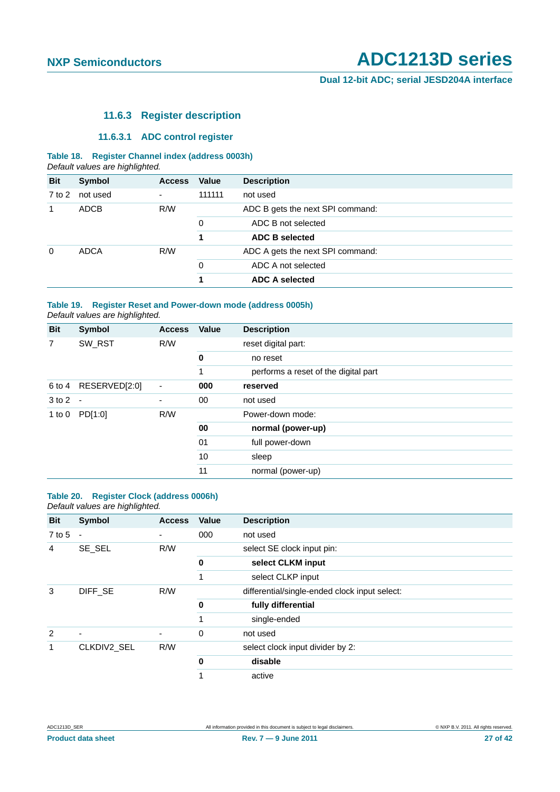**Dual 12-bit ADC; serial JESD204A interface**

#### **11.6.3 Register description**

#### **11.6.3.1 ADC control register**

#### <span id="page-26-2"></span><span id="page-26-1"></span>**Table 18. Register Channel index (address 0003h)** *Default values are highlighted.*

| <b>Bit</b> | Symbol      | <b>Access</b> | Value  | <b>Description</b>               |
|------------|-------------|---------------|--------|----------------------------------|
| 7 to 2     | not used    | ٠             | 111111 | not used                         |
| 1          | <b>ADCB</b> | R/W           |        | ADC B gets the next SPI command: |
|            |             |               | 0      | ADC B not selected               |
|            |             |               |        | <b>ADC B selected</b>            |
| $\Omega$   | ADCA        | R/W           |        | ADC A gets the next SPI command: |
|            |             |               | 0      | ADC A not selected               |
|            |             |               |        | <b>ADC A selected</b>            |

#### **Table 19. Register Reset and Power-down mode (address 0005h)** *Default values are highlighted.*

| <b>Bit</b>     | Symbol        | <b>Access</b>            | Value | <b>Description</b>                   |
|----------------|---------------|--------------------------|-------|--------------------------------------|
| $\overline{7}$ | SW_RST        | R/W                      |       | reset digital part:                  |
|                |               |                          | 0     | no reset                             |
|                |               |                          | 1     | performs a reset of the digital part |
| 6 to 4         | RESERVED[2:0] | $\overline{\phantom{a}}$ | 000   | reserved                             |
| 3 to 2         | $\sim$        | ٠                        | 00    | not used                             |
| 1 to $0$       | PD[1:0]       | R/W                      |       | Power-down mode:                     |
|                |               |                          | 00    | normal (power-up)                    |
|                |               |                          | 01    | full power-down                      |
|                |               |                          | 10    | sleep                                |
|                |               |                          | 11    | normal (power-up)                    |

#### <span id="page-26-0"></span>**Table 20. Register Clock (address 0006h)** *Default values are highlighted.*

| <b>Bit</b> | Symbol         | <b>Access</b> | Value       | <b>Description</b>                            |
|------------|----------------|---------------|-------------|-----------------------------------------------|
| $7$ to 5   | $\blacksquare$ | ۰             | 000         | not used                                      |
| 4          | SE_SEL         | R/W           |             | select SE clock input pin:                    |
|            |                |               | $\bf{0}$    | select CLKM input                             |
|            |                |               | 1           | select CLKP input                             |
| 3          | DIFF SE        | R/W           |             | differential/single-ended clock input select: |
|            |                |               | 0           | fully differential                            |
|            |                |               | 1           | single-ended                                  |
| 2          | $\blacksquare$ | -             | $\mathbf 0$ | not used                                      |
| 1          | CLKDIV2_SEL    | R/W           |             | select clock input divider by 2:              |
|            |                |               | $\bf{0}$    | disable                                       |
|            |                |               |             | active                                        |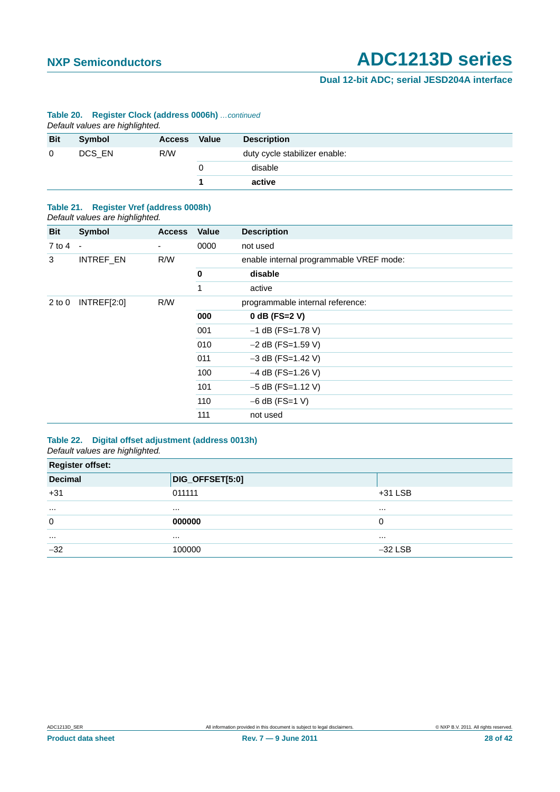#### **Dual 12-bit ADC; serial JESD204A interface**

#### **Table 20. Register Clock (address 0006h)** *…continued*

*Default values are highlighted.*

| <b>Bit</b> | Symbol | <b>Access</b> | Value | <b>Description</b>            |
|------------|--------|---------------|-------|-------------------------------|
| $\Omega$   | DCS EN | R/W           |       | duty cycle stabilizer enable: |
|            |        |               |       | disable                       |
|            |        |               |       | active                        |

#### <span id="page-27-0"></span>**Table 21. Register Vref (address 0008h)** *Default values are highlighted.*

| <b>Bit</b><br>Symbol<br>Value<br><b>Description</b><br><b>Access</b><br>$7$ to 4<br>0000<br>not used<br>$\blacksquare$<br>۰.<br>INTREF_EN<br>enable internal programmable VREF mode:<br>3<br>R/W<br>$\pmb{0}$<br>disable |
|--------------------------------------------------------------------------------------------------------------------------------------------------------------------------------------------------------------------------|
|                                                                                                                                                                                                                          |
|                                                                                                                                                                                                                          |
|                                                                                                                                                                                                                          |
|                                                                                                                                                                                                                          |
| 1<br>active                                                                                                                                                                                                              |
| INTREF[2:0]<br>R/W<br>programmable internal reference:<br>$2$ to $0$                                                                                                                                                     |
| 000<br>$0$ dB (FS=2 V)                                                                                                                                                                                                   |
| 001<br>$-1$ dB (FS=1.78 V)                                                                                                                                                                                               |
| 010<br>$-2$ dB (FS=1.59 V)                                                                                                                                                                                               |
| 011<br>$-3$ dB (FS=1.42 V)                                                                                                                                                                                               |
| 100<br>$-4$ dB (FS=1.26 V)                                                                                                                                                                                               |
| 101<br>$-5$ dB (FS=1.12 V)                                                                                                                                                                                               |
| 110<br>$-6$ dB (FS=1 V)                                                                                                                                                                                                  |
| 111<br>not used                                                                                                                                                                                                          |

#### **Table 22. Digital offset adjustment (address 0013h)**

| <b>Register offset:</b> |                 |           |  |  |  |  |
|-------------------------|-----------------|-----------|--|--|--|--|
| <b>Decimal</b>          | DIG_OFFSET[5:0] |           |  |  |  |  |
| $+31$                   | 011111          | $+31$ LSB |  |  |  |  |
|                         |                 | $\cdots$  |  |  |  |  |
| 0                       | 000000          | 0         |  |  |  |  |
|                         |                 | $\cdots$  |  |  |  |  |
| $-32$                   | 100000          | $-32$ LSB |  |  |  |  |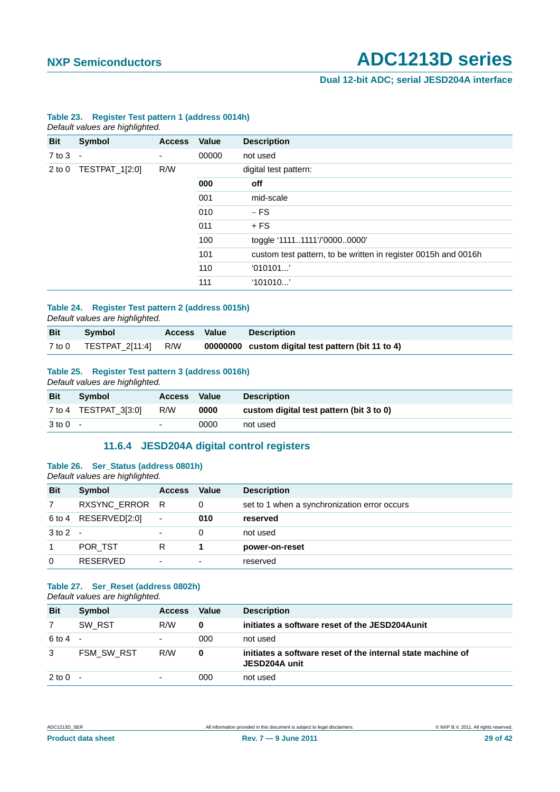**Dual 12-bit ADC; serial JESD204A interface**

|            | Delault values are highlighted. |               |       |                                                                |
|------------|---------------------------------|---------------|-------|----------------------------------------------------------------|
| Bit        | Symbol                          | <b>Access</b> | Value | <b>Description</b>                                             |
| $7$ to $3$ | $\blacksquare$                  | ۰             | 00000 | not used                                                       |
| $2$ to $0$ | TESTPAT_1[2:0]                  | R/W           |       | digital test pattern:                                          |
|            |                                 |               | 000   | off                                                            |
|            |                                 |               | 001   | mid-scale                                                      |
|            |                                 |               | 010   | $-FS$                                                          |
|            |                                 |               | 011   | + FS                                                           |
|            |                                 |               | 100   | toggle '11111111'/'00000000'                                   |
|            |                                 |               | 101   | custom test pattern, to be written in register 0015h and 0016h |
|            |                                 |               | 110   | '010101'                                                       |
|            |                                 |               | 111   | '101010'                                                       |
|            |                                 |               |       |                                                                |

#### **Table 23. Register Test pattern 1 (address 0014h)** *Default values are highlighted.*

#### **Table 24. Register Test pattern 2 (address 0015h)** *Default values are highlighted.*

| <b>Bit</b> | Symbol                     | <b>Access Value</b> | <b>Description</b>                                 |
|------------|----------------------------|---------------------|----------------------------------------------------|
|            | 7 to 0 TESTPAT 2[11:4] R/W |                     | 00000000 custom digital test pattern (bit 11 to 4) |

#### **Table 25. Register Test pattern 3 (address 0016h)**

*Default values are highlighted.*

| <b>Bit</b>          | Symbol                | <b>Access</b> | Value | <b>Description</b>                       |
|---------------------|-----------------------|---------------|-------|------------------------------------------|
|                     | 7 to 4 TESTPAT_3[3:0] | R/W           | 0000  | custom digital test pattern (bit 3 to 0) |
| $3 \text{ to } 0$ - |                       | $\sim$        | 0000  | not used                                 |

#### **11.6.4 JESD204A digital control registers**

#### <span id="page-28-0"></span>**Table 26. Ser\_Status (address 0801h)** *Default values are highlighted.*

| <b>Bit</b>   | Symbol          | <b>Access</b>            | <b>Value</b>             | <b>Description</b>                           |
|--------------|-----------------|--------------------------|--------------------------|----------------------------------------------|
| 7            | RXSYNC_ERROR R  |                          | 0                        | set to 1 when a synchronization error occurs |
| 6 to 4       | RESERVED[2:0]   | $\overline{\phantom{a}}$ | 010                      | reserved                                     |
| $3$ to $2 -$ |                 | ۰                        | 0                        | not used                                     |
|              | POR TST         | R                        |                          | power-on-reset                               |
| $\mathbf{0}$ | <b>RESERVED</b> | ۰                        | $\overline{\phantom{a}}$ | reserved                                     |

#### **Table 27. Ser\_Reset (address 0802h)** *Default values are highlighted.*

| <b>Bit</b> | Symbol         | <b>Access</b> | <b>Value</b> | <b>Description</b>                                                           |
|------------|----------------|---------------|--------------|------------------------------------------------------------------------------|
| 7          | SW RST         | R/W           | $\bf{0}$     | initiates a software reset of the JESD204Aunit                               |
| 6 to 4     | $\blacksquare$ | $\sim$        | 000          | not used                                                                     |
| 3          | FSM SW RST     | R/W           | $\mathbf 0$  | initiates a software reset of the internal state machine of<br>JESD204A unit |
| $2$ to $0$ | $\blacksquare$ | $\sim$        | 000          | not used                                                                     |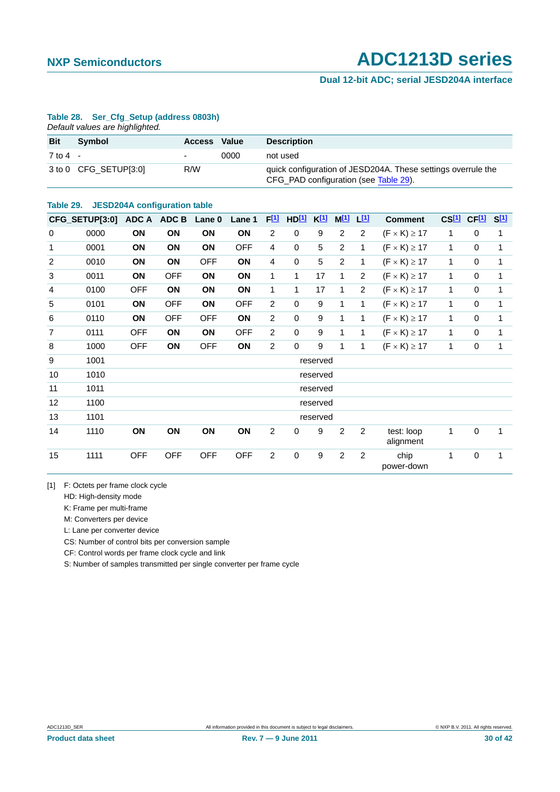#### **Dual 12-bit ADC; serial JESD204A interface**

#### <span id="page-29-0"></span>**Table 28. Ser\_Cfg\_Setup (address 0803h)**

| Default values are highlighted. |  |
|---------------------------------|--|
|---------------------------------|--|

| <b>Bit</b>   | <b>Symbol</b>         | <b>Access Value</b> |      | <b>Description</b>                                                                                    |
|--------------|-----------------------|---------------------|------|-------------------------------------------------------------------------------------------------------|
| $7$ to $4$ - |                       | -                   | 0000 | not used                                                                                              |
|              | 3 to 0 CFG SETUP[3:0] | R/W                 |      | quick configuration of JESD204A. These settings overrule the<br>CFG_PAD configuration (see Table 29). |

#### <span id="page-29-2"></span>**Table 29. JESD204A configuration table**

|                | CFG_SETUP[3:0] | ADC A      | ADC B      | Lane 0     | Lane 1     | F[1]                    | HD <sup>[1]</sup> | K <sup>[1]</sup> | $M^{[1]}$      | <u>[1]</u>     | <b>Comment</b>          |              | CS <sup>[1]</sup> CF <sup>[1]</sup> | S[1]         |
|----------------|----------------|------------|------------|------------|------------|-------------------------|-------------------|------------------|----------------|----------------|-------------------------|--------------|-------------------------------------|--------------|
| $\mathbf 0$    | 0000           | ON         | ON         | ON         | ON         | $\overline{2}$          | $\mathbf 0$       | 9                | 2              | $\overline{c}$ | $(F \times K) \geq 17$  | 1            | $\mathbf 0$                         | 1            |
| $\mathbf{1}$   | 0001           | ON         | ΟN         | ON         | <b>OFF</b> | 4                       | $\mathbf 0$       | $\overline{5}$   | $\overline{2}$ | 1              | $(F \times K) \geq 17$  | 1            | $\mathbf 0$                         | 1            |
| $\overline{c}$ | 0010           | ON         | ON         | OFF        | ON         | 4                       | 0                 | $\overline{5}$   | $\overline{2}$ | $\mathbf{1}$   | $(F \times K) \geq 17$  | $\mathbf{1}$ | $\Omega$                            | $\mathbf{1}$ |
| 3              | 0011           | ON         | <b>OFF</b> | ON         | ON         | 1                       | 1                 | 17               | $\mathbf{1}$   | 2              | $(F \times K) \geq 17$  | $\mathbf{1}$ | $\mathbf 0$                         | $\mathbf{1}$ |
| $\overline{4}$ | 0100           | <b>OFF</b> | ON         | ON         | ON         | $\mathbf{1}$            | 1                 | 17               | 1              | $\overline{c}$ | $(F \times K) \geq 17$  | $\mathbf{1}$ | $\mathbf 0$                         | 1            |
| 5              | 0101           | ON         | <b>OFF</b> | ON         | <b>OFF</b> | $\overline{c}$          | 0                 | 9                | $\mathbf{1}$   | $\mathbf{1}$   | $(F \times K) \geq 17$  | $\mathbf{1}$ | $\Omega$                            | 1            |
| 6              | 0110           | ON         | <b>OFF</b> | <b>OFF</b> | ON         | $\overline{2}$          | $\mathbf 0$       | 9                | 1              | $\mathbf{1}$   | $(F \times K) \geq 17$  | $\mathbf{1}$ | $\Omega$                            | 1            |
| $\overline{7}$ | 0111           | <b>OFF</b> | ΟN         | ON         | <b>OFF</b> | $\overline{c}$          | 0                 | 9                | 1              | $\mathbf{1}$   | $(F \times K) \geq 17$  | $\mathbf{1}$ | $\mathbf 0$                         | 1            |
| 8              | 1000           | <b>OFF</b> | ON         | OFF        | ON         | $\overline{c}$          | $\pmb{0}$         | 9                | 1              | $\mathbf{1}$   | $(F \times K) \ge 17$   | 1            | $\pmb{0}$                           | 1            |
| 9              | 1001           |            |            |            |            |                         |                   | reserved         |                |                |                         |              |                                     |              |
| 10             | 1010           |            |            |            |            |                         |                   | reserved         |                |                |                         |              |                                     |              |
| 11             | 1011           |            |            |            |            |                         |                   | reserved         |                |                |                         |              |                                     |              |
| 12             | 1100           |            |            |            |            |                         |                   | reserved         |                |                |                         |              |                                     |              |
| 13             | 1101           |            |            |            |            |                         |                   | reserved         |                |                |                         |              |                                     |              |
| 14             | 1110           | ON         | ON         | ON         | ON         | $\overline{\mathbf{c}}$ | 0                 | 9                | $\overline{c}$ | 2              | test: loop<br>alignment | 1            | $\mathbf 0$                         | 1            |
| 15             | 1111           | <b>OFF</b> | <b>OFF</b> | <b>OFF</b> | <b>OFF</b> | $\overline{c}$          | $\mathbf 0$       | 9                | $\overline{2}$ | $\overline{2}$ | chip<br>power-down      | 1            | $\pmb{0}$                           | 1            |

<span id="page-29-1"></span>[1] F: Octets per frame clock cycle

HD: High-density mode

K: Frame per multi-frame

M: Converters per device

L: Lane per converter device

CS: Number of control bits per conversion sample

CF: Control words per frame clock cycle and link

S: Number of samples transmitted per single converter per frame cycle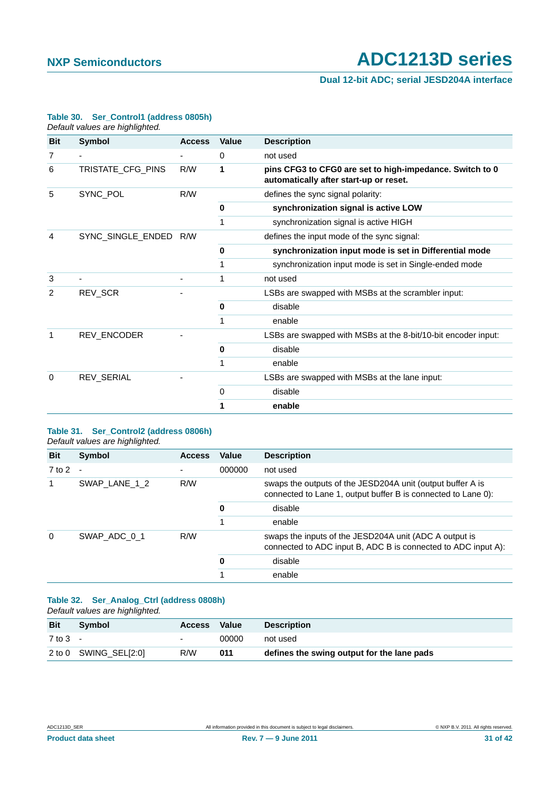**Dual 12-bit ADC; serial JESD204A interface**

#### **Table 30. Ser\_Control1 (address 0805h)**

| <b>Bit</b><br>Symbol<br><b>Value</b><br><b>Description</b><br><b>Access</b><br>7<br>0<br>not used<br>TRISTATE_CFG_PINS<br>pins CFG3 to CFG0 are set to high-impedance. Switch to 0<br>R/W<br>1<br>6<br>automatically after start-up or reset.<br>SYNC_POL<br>R/W<br>5<br>defines the sync signal polarity:<br>synchronization signal is active LOW<br>0<br>1<br>synchronization signal is active HIGH<br>SYNC_SINGLE_ENDED<br>defines the input mode of the sync signal:<br>R/W<br>4<br>synchronization input mode is set in Differential mode<br>0<br>1<br>synchronization input mode is set in Single-ended mode<br>$\mathbf{3}$<br>1<br>not used |  |
|-----------------------------------------------------------------------------------------------------------------------------------------------------------------------------------------------------------------------------------------------------------------------------------------------------------------------------------------------------------------------------------------------------------------------------------------------------------------------------------------------------------------------------------------------------------------------------------------------------------------------------------------------------|--|
|                                                                                                                                                                                                                                                                                                                                                                                                                                                                                                                                                                                                                                                     |  |
|                                                                                                                                                                                                                                                                                                                                                                                                                                                                                                                                                                                                                                                     |  |
|                                                                                                                                                                                                                                                                                                                                                                                                                                                                                                                                                                                                                                                     |  |
|                                                                                                                                                                                                                                                                                                                                                                                                                                                                                                                                                                                                                                                     |  |
|                                                                                                                                                                                                                                                                                                                                                                                                                                                                                                                                                                                                                                                     |  |
|                                                                                                                                                                                                                                                                                                                                                                                                                                                                                                                                                                                                                                                     |  |
|                                                                                                                                                                                                                                                                                                                                                                                                                                                                                                                                                                                                                                                     |  |
|                                                                                                                                                                                                                                                                                                                                                                                                                                                                                                                                                                                                                                                     |  |
|                                                                                                                                                                                                                                                                                                                                                                                                                                                                                                                                                                                                                                                     |  |
|                                                                                                                                                                                                                                                                                                                                                                                                                                                                                                                                                                                                                                                     |  |
| REV_SCR<br>2<br>LSBs are swapped with MSBs at the scrambler input:                                                                                                                                                                                                                                                                                                                                                                                                                                                                                                                                                                                  |  |
| disable<br>0                                                                                                                                                                                                                                                                                                                                                                                                                                                                                                                                                                                                                                        |  |
| 1<br>enable                                                                                                                                                                                                                                                                                                                                                                                                                                                                                                                                                                                                                                         |  |
| REV_ENCODER<br>LSBs are swapped with MSBs at the 8-bit/10-bit encoder input:<br>1                                                                                                                                                                                                                                                                                                                                                                                                                                                                                                                                                                   |  |
| disable<br>0                                                                                                                                                                                                                                                                                                                                                                                                                                                                                                                                                                                                                                        |  |
| 1<br>enable                                                                                                                                                                                                                                                                                                                                                                                                                                                                                                                                                                                                                                         |  |
| REV_SERIAL<br>LSBs are swapped with MSBs at the lane input:<br>0                                                                                                                                                                                                                                                                                                                                                                                                                                                                                                                                                                                    |  |
| disable<br>0                                                                                                                                                                                                                                                                                                                                                                                                                                                                                                                                                                                                                                        |  |
| enable<br>1                                                                                                                                                                                                                                                                                                                                                                                                                                                                                                                                                                                                                                         |  |

#### **Table 31. Ser\_Control2 (address 0806h)** *Default values are highlighted.*

| <b>Bit</b> | Symbol        | <b>Access</b> | Value  | <b>Description</b>                                                                                                          |
|------------|---------------|---------------|--------|-----------------------------------------------------------------------------------------------------------------------------|
| $7$ to $2$ |               |               | 000000 | not used                                                                                                                    |
| 1          | SWAP LANE 1 2 | R/W           |        | swaps the outputs of the JESD204A unit (output buffer A is<br>connected to Lane 1, output buffer B is connected to Lane 0): |
|            |               |               | O      | disable                                                                                                                     |
|            |               |               |        | enable                                                                                                                      |
| 0          | SWAP ADC 0 1  | R/W           |        | swaps the inputs of the JESD204A unit (ADC A output is<br>connected to ADC input B, ADC B is connected to ADC input A):     |
|            |               |               | 0      | disable                                                                                                                     |
|            |               |               |        | enable                                                                                                                      |

#### **Table 32. Ser\_Analog\_Ctrl (address 0808h)** *Default values are highlighted.*

| <b>Bit</b> | <b>Symbol</b>         | <b>Access Value</b>      |       | <b>Description</b>                         |
|------------|-----------------------|--------------------------|-------|--------------------------------------------|
| 7 to 3     |                       | $\overline{\phantom{0}}$ | 00000 | not used                                   |
|            | 2 to 0 SWING SEL[2:0] | R/W                      | 011   | defines the swing output for the lane pads |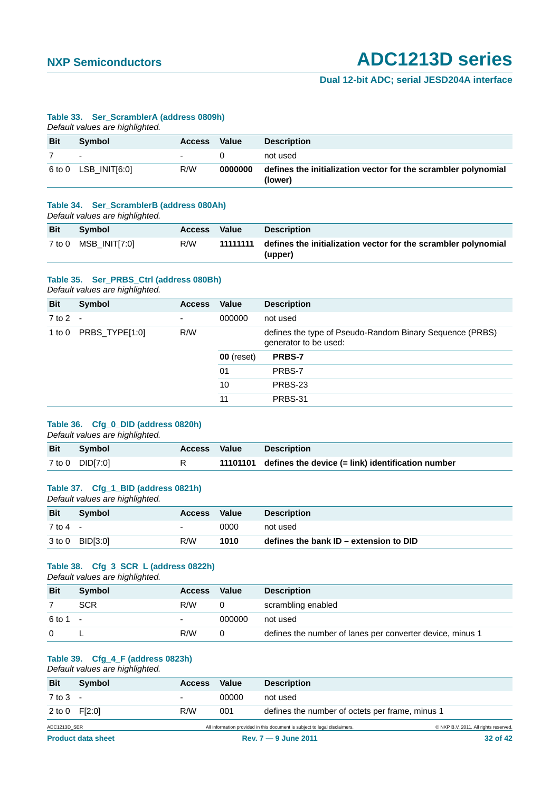#### **Dual 12-bit ADC; serial JESD204A interface**

#### **Table 33. Ser\_ScramblerA (address 0809h)**

|            | Default values are highlighted. |               |         |                                                                           |
|------------|---------------------------------|---------------|---------|---------------------------------------------------------------------------|
| <b>Bit</b> | <b>Symbol</b>                   | <b>Access</b> | Value   | <b>Description</b>                                                        |
|            | $\blacksquare$                  | ۰             |         | not used                                                                  |
|            | $6$ to $0$ LSB INIT[6:0]        | R/W           | 0000000 | defines the initialization vector for the scrambler polynomial<br>(lower) |

#### **Table 34. Ser\_ScramblerB (address 080Ah)**

*Default values are highlighted.*

| <b>Bit</b> | <b>Symbol</b>        | Access Value | <b>Description</b>                                                                 |
|------------|----------------------|--------------|------------------------------------------------------------------------------------|
|            | 7 to 0 MSB INIT[7:0] | R/W          | 11111111 defines the initialization vector for the scrambler polynomial<br>(upper) |

#### **Table 35. Ser\_PRBS\_Ctrl (address 080Bh)**

*Default values are highlighted.*

| <b>Bit</b> | Symbol                   | <b>Access</b>     | Value         | <b>Description</b>                                                                |
|------------|--------------------------|-------------------|---------------|-----------------------------------------------------------------------------------|
| 7 to 2     | $\overline{\phantom{a}}$ | ۰                 | 000000        | not used                                                                          |
| 1 to 0     | PRBS_TYPE[1:0]<br>R/W    |                   |               | defines the type of Pseudo-Random Binary Sequence (PRBS)<br>generator to be used: |
|            |                          | <b>00</b> (reset) | <b>PRBS-7</b> |                                                                                   |
|            |                          |                   | 01            | PRBS-7                                                                            |
|            |                          |                   | 10            | PRBS-23                                                                           |
|            |                          |                   | 11            | PRBS-31                                                                           |
|            |                          |                   |               |                                                                                   |

#### **Table 36. Cfg\_0\_DID (address 0820h)**

*Default values are highlighted.*

| <b>Bit</b> | Symbol          | <b>Access Value</b> | <b>Description</b>                                         |
|------------|-----------------|---------------------|------------------------------------------------------------|
|            | 7 to 0 DID[7:0] |                     | 11101101 defines the device (= link) identification number |

#### **Table 37. Cfg\_1\_BID (address 0821h)**

*Default values are highlighted.*

| <b>Bit</b> | Symbol          | Access                   | Value | <b>Description</b>                     |
|------------|-----------------|--------------------------|-------|----------------------------------------|
| 7 to 4     |                 | $\overline{\phantom{a}}$ | 0000  | not used                               |
|            | 3 to 0 BID[3:0] | R/W                      | 1010  | defines the bank ID – extension to DID |

#### **Table 38. Cfg\_3\_SCR\_L (address 0822h)** *Default values are highlighted.*

| <b>Bit</b> | Symbol                   | <b>Access</b>            | Value  | <b>Description</b>                                        |
|------------|--------------------------|--------------------------|--------|-----------------------------------------------------------|
|            | <b>SCR</b>               | R/W                      |        | scrambling enabled                                        |
| 6 to 1     | $\overline{\phantom{a}}$ | $\overline{\phantom{a}}$ | 000000 | not used                                                  |
|            |                          | R/W                      |        | defines the number of lanes per converter device, minus 1 |

#### **Table 39. Cfg\_4\_F (address 0823h)**

| <b>Bit</b>                | Symbol          | <b>Access</b>            | Value | <b>Description</b>                                                         |                                       |
|---------------------------|-----------------|--------------------------|-------|----------------------------------------------------------------------------|---------------------------------------|
| 7 to 3                    |                 | $\overline{\phantom{a}}$ | 00000 | not used                                                                   |                                       |
|                           | 2 to $0$ F[2:0] | R/W                      | 001   | defines the number of octets per frame, minus 1                            |                                       |
| ADC1213D SER              |                 |                          |       | All information provided in this document is subject to legal disclaimers. | © NXP B.V. 2011. All rights reserved. |
| <b>Product data sheet</b> |                 |                          |       | Rev. $7 - 9$ June 2011                                                     | 32 of 42                              |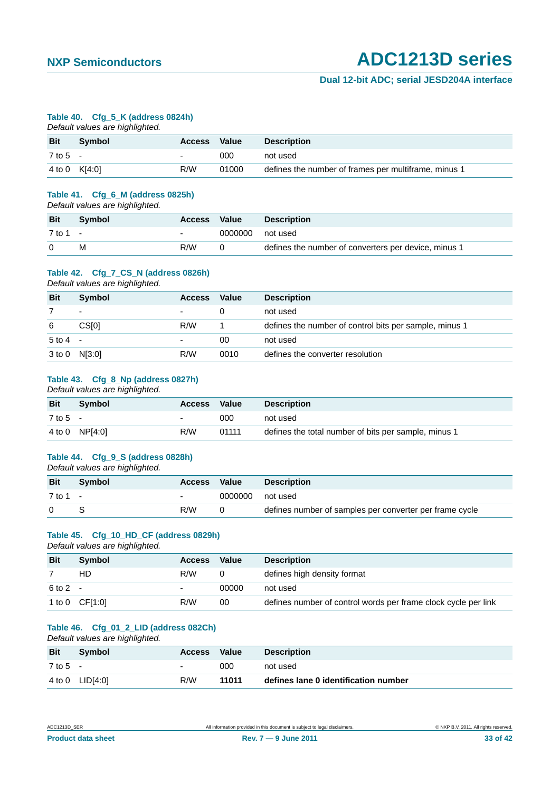#### **Dual 12-bit ADC; serial JESD204A interface**

#### **Table 40. Cfg\_5\_K (address 0824h)**

| Default values are highlighted. |               |                          |       |                                                      |  |
|---------------------------------|---------------|--------------------------|-------|------------------------------------------------------|--|
| <b>Bit</b>                      | <b>Symbol</b> | Access                   | Value | <b>Description</b>                                   |  |
| $7$ to $5 -$                    |               | $\overline{\phantom{0}}$ | 000   | not used                                             |  |
| 4 to 0                          | K[4:0]        | R/W                      | 01000 | defines the number of frames per multiframe, minus 1 |  |

#### **Table 41. Cfg\_6\_M (address 0825h)** *Default values are highlighted.*

| <b>Bit</b> | <b>Symbol</b> | Access Value |         | <b>Description</b>                                   |
|------------|---------------|--------------|---------|------------------------------------------------------|
| $7$ to 1 - |               | $\sim$       | 0000000 | not used                                             |
|            | м             | R/W          |         | defines the number of converters per device, minus 1 |

#### **Table 42. Cfg\_7\_CS\_N (address 0826h)**

*Default values are highlighted.*

| <b>Bit</b>               | Symbol                   | <b>Access</b>            | <b>Value</b> | <b>Description</b>                                     |
|--------------------------|--------------------------|--------------------------|--------------|--------------------------------------------------------|
|                          | $\overline{\phantom{0}}$ | $\overline{\phantom{0}}$ |              | not used                                               |
| 6                        | CS <sub>[0]</sub>        | R/W                      |              | defines the number of control bits per sample, minus 1 |
| $5$ to $4$ -             |                          | $\overline{\phantom{0}}$ | 00           | not used                                               |
| $3 \text{ to } 0$ N[3:0] |                          | R/W                      | 0010         | defines the converter resolution                       |

#### **Table 43. Cfg\_8\_Np (address 0827h)**

*Default values are highlighted.*

| <b>Bit</b>   | Symbol         | Access Value             |       | <b>Description</b>                                   |
|--------------|----------------|--------------------------|-------|------------------------------------------------------|
| $7$ to $5 -$ |                | $\overline{\phantom{0}}$ | 000   | not used                                             |
|              | 4 to 0 NP[4:0] | R/W                      | 01111 | defines the total number of bits per sample, minus 1 |

#### **Table 44. Cfg\_9\_S (address 0828h)**

*Default values are highlighted.*

| <b>Bit</b> | Symbol | Access Value             |         | <b>Description</b>                                      |
|------------|--------|--------------------------|---------|---------------------------------------------------------|
| $7$ to 1 - |        | $\overline{\phantom{0}}$ | 0000000 | not used                                                |
|            |        | R/W                      |         | defines number of samples per converter per frame cycle |

#### **Table 45. Cfg\_10\_HD\_CF (address 0829h)**

*Default values are highlighted.*

| <b>Bit</b> | Symbol           | <b>Access</b> | Value | <b>Description</b>                                             |
|------------|------------------|---------------|-------|----------------------------------------------------------------|
|            | HD               | R/W           |       | defines high density format                                    |
| 6 to 2     |                  | -             | 00000 | not used                                                       |
|            | 1 to $0$ CF[1:0] | R/W           | 00    | defines number of control words per frame clock cycle per link |

#### **Table 46. Cfg\_01\_2\_LID (address 082Ch)** *Default values are highlighted.*

| <b>Bit</b> | Symbol             | Access | Value | <b>Description</b>                   |
|------------|--------------------|--------|-------|--------------------------------------|
| 7 to 5     |                    |        | 000   | not used                             |
|            | 4 to 0 $LIDI(4:0)$ | R/W    | 11011 | defines lane 0 identification number |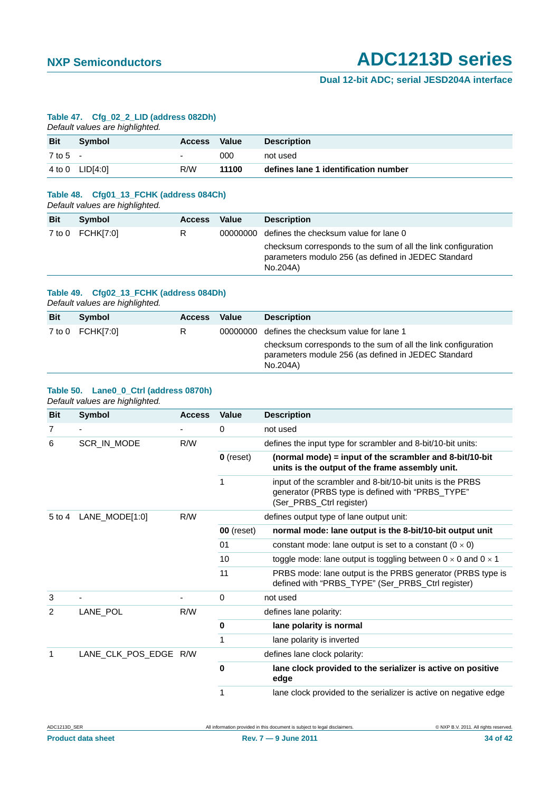#### **Dual 12-bit ADC; serial JESD204A interface**

#### **Table 47. Cfg\_02\_2\_LID (address 082Dh)**

*Default values are highlighted.*

| <b>Bit</b> | <b>Symbol</b>   | <b>Access</b>            | Value | <b>Description</b>                   |
|------------|-----------------|--------------------------|-------|--------------------------------------|
| 7 to 5     |                 | $\overline{\phantom{0}}$ | 000   | not used                             |
|            | 4 to 0 LID[4:0] | R/W                      | 11100 | defines lane 1 identification number |

#### **Table 48. Cfg01\_13\_FCHK (address 084Ch)** *Default values are highlighted.*

|            | Symbol           |               |          |                                                                                                                                  |
|------------|------------------|---------------|----------|----------------------------------------------------------------------------------------------------------------------------------|
| <b>Bit</b> |                  | <b>Access</b> | Value    | <b>Description</b>                                                                                                               |
|            | 7 to 0 FCHK[7:0] | R.            | 00000000 | defines the checksum value for lane 0                                                                                            |
|            |                  |               |          | checksum corresponds to the sum of all the link configuration<br>parameters modulo 256 (as defined in JEDEC Standard<br>No.204A) |

#### **Table 49. Cfg02\_13\_FCHK (address 084Dh)**

*Default values are highlighted.*

| defines the checksum value for lane 1<br>7 to 0 FCHK[7:0]<br>R.<br>00000000<br>checksum corresponds to the sum of all the link configuration<br>parameters module 256 (as defined in JEDEC Standard<br>No.204A) | <b>Bit</b> | Symbol | <b>Access</b> | Value | <b>Description</b> |
|-----------------------------------------------------------------------------------------------------------------------------------------------------------------------------------------------------------------|------------|--------|---------------|-------|--------------------|
|                                                                                                                                                                                                                 |            |        |               |       |                    |

#### **Table 50. Lane0\_0\_Ctrl (address 0870h)**

| <b>Bit</b> | <b>Symbol</b>         | <b>Access</b> | <b>Value</b>      | <b>Description</b>                                                                                                                        |
|------------|-----------------------|---------------|-------------------|-------------------------------------------------------------------------------------------------------------------------------------------|
| 7          |                       |               | 0                 | not used                                                                                                                                  |
| 6          | SCR_IN_MODE           | R/W           |                   | defines the input type for scrambler and 8-bit/10-bit units:                                                                              |
|            |                       |               | $0$ (reset)       | (normal mode) = input of the scrambler and 8-bit/10-bit<br>units is the output of the frame assembly unit.                                |
|            |                       |               |                   | input of the scrambler and 8-bit/10-bit units is the PRBS<br>generator (PRBS type is defined with "PRBS_TYPE"<br>(Ser_PRBS_Ctrl register) |
| 5 to 4     | LANE_MODE[1:0]        | R/W           |                   | defines output type of lane output unit:                                                                                                  |
|            |                       |               | <b>00</b> (reset) | normal mode: lane output is the 8-bit/10-bit output unit                                                                                  |
|            |                       |               | 01                | constant mode: lane output is set to a constant $(0 \times 0)$                                                                            |
|            |                       |               | 10                | toggle mode: lane output is toggling between $0 \times 0$ and $0 \times 1$                                                                |
|            |                       |               | 11                | PRBS mode: lane output is the PRBS generator (PRBS type is<br>defined with "PRBS_TYPE" (Ser_PRBS_Ctrl register)                           |
| 3          |                       |               | $\Omega$          | not used                                                                                                                                  |
| 2          | LANE_POL              | R/W           |                   | defines lane polarity:                                                                                                                    |
|            |                       |               | 0                 | lane polarity is normal                                                                                                                   |
|            |                       |               | 1                 | lane polarity is inverted                                                                                                                 |
| 1          | LANE_CLK_POS_EDGE R/W |               |                   | defines lane clock polarity:                                                                                                              |
|            |                       |               | $\bf{0}$          | lane clock provided to the serializer is active on positive<br>edge                                                                       |
|            |                       |               |                   | lane clock provided to the serializer is active on negative edge                                                                          |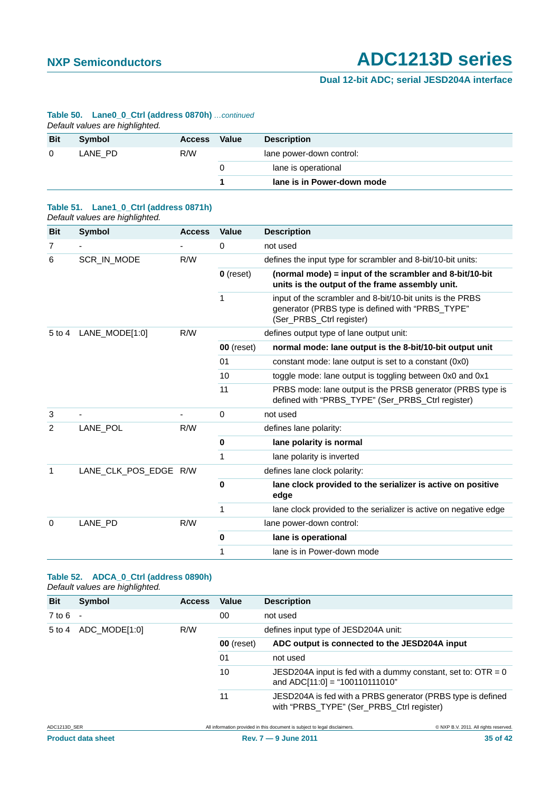#### **Dual 12-bit ADC; serial JESD204A interface**

#### **Table 50. Lane0\_0\_Ctrl (address 0870h)** *…continued*

*Default values are highlighted.*

| <b>Bit</b> | Symbol  | Access | Value | <b>Description</b>         |
|------------|---------|--------|-------|----------------------------|
| 0          | LANE PD | R/W    |       | lane power-down control:   |
|            |         |        |       | lane is operational        |
|            |         |        |       | lane is in Power-down mode |

#### **Table 51. Lane1\_0\_Ctrl (address 0871h)** *Default values are highlighted.*

| <b>Bit</b> | <b>Symbol</b>         | <b>Access</b> | Value             | <b>Description</b>                                                                                                                        |  |  |
|------------|-----------------------|---------------|-------------------|-------------------------------------------------------------------------------------------------------------------------------------------|--|--|
| 7          |                       |               | 0                 | not used                                                                                                                                  |  |  |
| 6          | SCR_IN_MODE           | R/W           |                   | defines the input type for scrambler and 8-bit/10-bit units:                                                                              |  |  |
|            |                       |               | $0$ (reset)       | (normal mode) = input of the scrambler and 8-bit/10-bit<br>units is the output of the frame assembly unit.                                |  |  |
|            |                       |               | 1                 | input of the scrambler and 8-bit/10-bit units is the PRBS<br>generator (PRBS type is defined with "PRBS_TYPE"<br>(Ser_PRBS_Ctrl register) |  |  |
| 5 to 4     | LANE_MODE[1:0]        | R/W           |                   | defines output type of lane output unit:                                                                                                  |  |  |
|            |                       |               | <b>00</b> (reset) | normal mode: lane output is the 8-bit/10-bit output unit                                                                                  |  |  |
|            |                       |               | 01                | constant mode: lane output is set to a constant (0x0)                                                                                     |  |  |
|            |                       |               | 10                | toggle mode: lane output is toggling between 0x0 and 0x1                                                                                  |  |  |
|            |                       |               | 11                | PRBS mode: lane output is the PRSB generator (PRBS type is<br>defined with "PRBS_TYPE" (Ser_PRBS_Ctrl register)                           |  |  |
| 3          |                       |               | $\mathbf 0$       | not used                                                                                                                                  |  |  |
| 2          | LANE_POL              | R/W           |                   | defines lane polarity:                                                                                                                    |  |  |
|            |                       |               | 0                 | lane polarity is normal                                                                                                                   |  |  |
|            |                       |               | 1                 | lane polarity is inverted                                                                                                                 |  |  |
| 1          | LANE CLK POS EDGE R/W |               |                   | defines lane clock polarity:                                                                                                              |  |  |
|            |                       |               | 0                 | lane clock provided to the serializer is active on positive<br>edge                                                                       |  |  |
|            |                       |               | 1                 | lane clock provided to the serializer is active on negative edge                                                                          |  |  |
| 0          | LANE_PD               | R/W           |                   | lane power-down control:                                                                                                                  |  |  |
|            |                       |               | 0                 | lane is operational                                                                                                                       |  |  |
|            |                       |               | $\mathbf{1}$      | lane is in Power-down mode                                                                                                                |  |  |

#### **Table 52. ADCA\_0\_Ctrl (address 0890h)**

| <b>Bit</b>   | Symbol                   | <b>Access</b> | Value             | <b>Description</b>                                                                                       |                                       |  |
|--------------|--------------------------|---------------|-------------------|----------------------------------------------------------------------------------------------------------|---------------------------------------|--|
| 7 to 6       | $\overline{\phantom{a}}$ |               | 00                | not used                                                                                                 |                                       |  |
| $5$ to 4     | ADC_MODE[1:0]            | R/W           |                   | defines input type of JESD204A unit:                                                                     |                                       |  |
|              |                          |               | <b>00</b> (reset) | ADC output is connected to the JESD204A input                                                            |                                       |  |
|              |                          |               | 01                | not used                                                                                                 |                                       |  |
|              |                          |               | 10                | JESD204A input is fed with a dummy constant, set to: $\text{OTR} = 0$<br>and ADC[11:0] = "100110111010"  |                                       |  |
|              |                          |               | 11                | JESD204A is fed with a PRBS generator (PRBS type is defined<br>with "PRBS_TYPE" (Ser_PRBS_Ctrl register) |                                       |  |
| ADC1213D SER |                          |               |                   | All information provided in this document is subject to legal disclaimers.                               | © NXP B.V. 2011. All rights reserved. |  |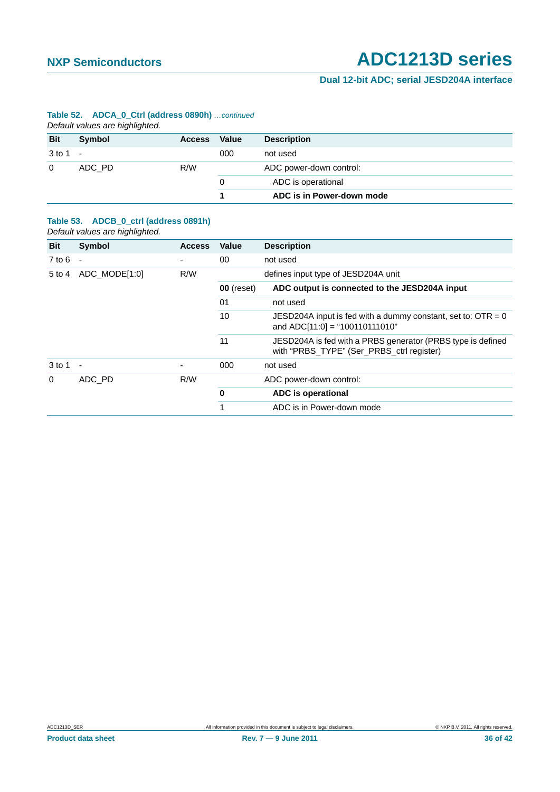#### **Dual 12-bit ADC; serial JESD204A interface**

#### **Table 52. ADCA\_0\_Ctrl (address 0890h)** *…continued*

*Default values are highlighted.*

| <b>Bit</b> | Symbol                   | <b>Access</b> | Value | <b>Description</b>        |
|------------|--------------------------|---------------|-------|---------------------------|
| 3 to 1     | $\overline{\phantom{a}}$ |               | 000   | not used                  |
| $\Omega$   | ADC PD                   | R/W           |       | ADC power-down control:   |
|            |                          |               | 0     | ADC is operational        |
|            |                          |               |       | ADC is in Power-down mode |

#### **Table 53. ADCB\_0\_ctrl (address 0891h)**

| <b>Bit</b> | Symbol                   | <b>Access</b>            | Value             | <b>Description</b>                                                                                       |  |  |
|------------|--------------------------|--------------------------|-------------------|----------------------------------------------------------------------------------------------------------|--|--|
| 7 to 6     | $\overline{\phantom{a}}$ | $\overline{\phantom{0}}$ | 00                | not used                                                                                                 |  |  |
| $5$ to 4   | ADC MODE[1:0]            | R/W                      |                   | defines input type of JESD204A unit                                                                      |  |  |
|            |                          |                          | <b>00</b> (reset) | ADC output is connected to the JESD204A input                                                            |  |  |
|            |                          |                          | 01                | not used                                                                                                 |  |  |
|            |                          |                          | 10                | JESD204A input is fed with a dummy constant, set to: $\text{OTR} = 0$<br>and ADC[11:0] = "100110111010"  |  |  |
|            |                          |                          | 11                | JESD204A is fed with a PRBS generator (PRBS type is defined<br>with "PRBS TYPE" (Ser PRBS ctrl register) |  |  |
| 3 to 1     | $\overline{\phantom{a}}$ |                          | 000               | not used                                                                                                 |  |  |
| $\Omega$   | ADC PD                   | R/W                      |                   | ADC power-down control:                                                                                  |  |  |
|            |                          |                          | 0                 | ADC is operational                                                                                       |  |  |
|            |                          |                          |                   | ADC is in Power-down mode                                                                                |  |  |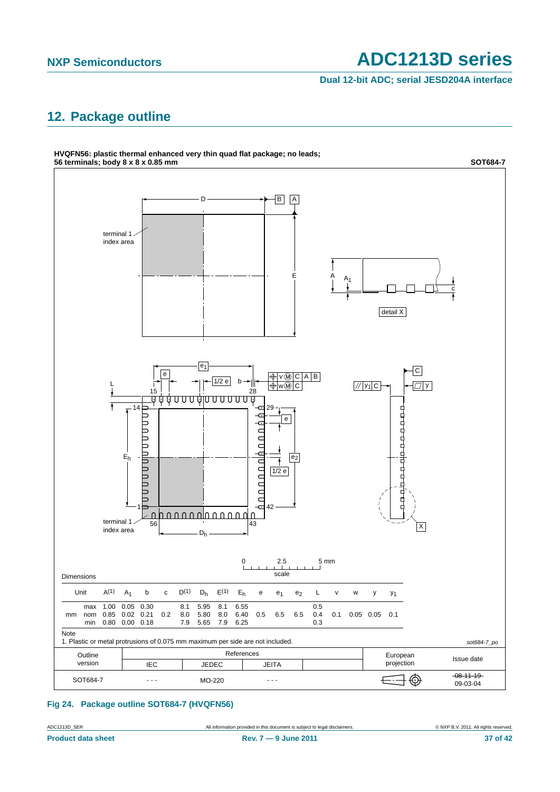**Dual 12-bit ADC; serial JESD204A interface**

## <span id="page-36-0"></span>**12. Package outline**



#### **Fig 24. Package outline SOT684-7 (HVQFN56)**

ADC1213D\_SER All information provided in this document is subject to legal disclaimers. © NXP B.V. 2011. All rights reserved.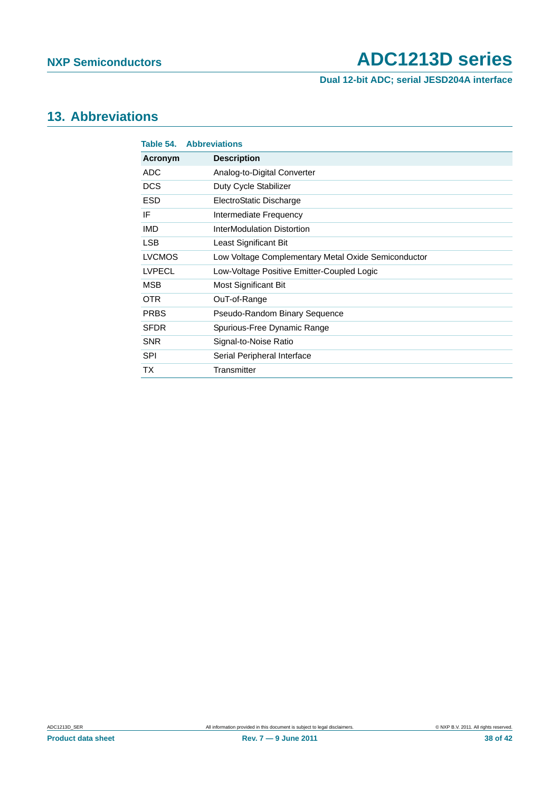**Dual 12-bit ADC; serial JESD204A interface**

## <span id="page-37-0"></span>**13. Abbreviations**

| Table 54.     | <b>Abbreviations</b>                                |
|---------------|-----------------------------------------------------|
| Acronym       | <b>Description</b>                                  |
| <b>ADC</b>    | Analog-to-Digital Converter                         |
| <b>DCS</b>    | Duty Cycle Stabilizer                               |
| <b>ESD</b>    | ElectroStatic Discharge                             |
| IF            | Intermediate Frequency                              |
| <b>IMD</b>    | InterModulation Distortion                          |
| <b>LSB</b>    | Least Significant Bit                               |
| <b>LVCMOS</b> | Low Voltage Complementary Metal Oxide Semiconductor |
| <b>LVPECL</b> | Low-Voltage Positive Emitter-Coupled Logic          |
| <b>MSB</b>    | Most Significant Bit                                |
| OTR.          | OuT-of-Range                                        |
| <b>PRBS</b>   | Pseudo-Random Binary Sequence                       |
| <b>SFDR</b>   | Spurious-Free Dynamic Range                         |
| <b>SNR</b>    | Signal-to-Noise Ratio                               |
| <b>SPI</b>    | Serial Peripheral Interface                         |
| TX            | Transmitter                                         |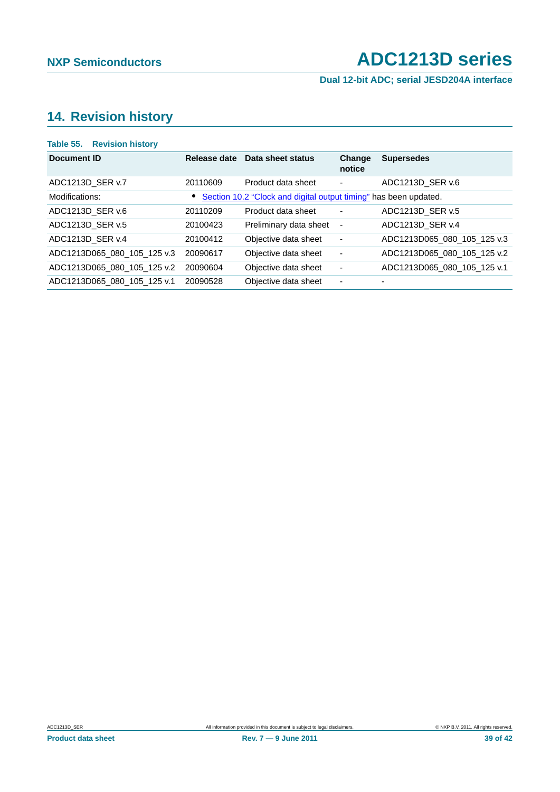**Dual 12-bit ADC; serial JESD204A interface**

## <span id="page-38-0"></span>**14. Revision history**

| <b>Table 55. Revision history</b> |              |                                                                  |                          |                             |
|-----------------------------------|--------------|------------------------------------------------------------------|--------------------------|-----------------------------|
| <b>Document ID</b>                | Release date | Data sheet status                                                | Change<br>notice         | <b>Supersedes</b>           |
| ADC1213D SER v.7                  | 20110609     | Product data sheet                                               | ٠                        | ADC1213D SER v.6            |
| Modifications:                    |              | Section 10.2 "Clock and digital output timing" has been updated. |                          |                             |
| ADC1213D SER v.6                  | 20110209     | Product data sheet                                               | ٠                        | ADC1213D_SER v.5            |
| ADC1213D SER v.5                  | 20100423     | Preliminary data sheet                                           | $\overline{\phantom{a}}$ | ADC1213D SER v.4            |
| ADC1213D SER v.4                  | 20100412     | Objective data sheet                                             | $\overline{\phantom{a}}$ | ADC1213D065_080_105_125 v.3 |
| ADC1213D065 080 105 125 v.3       | 20090617     | Objective data sheet                                             | $\overline{\phantom{a}}$ | ADC1213D065 080 105 125 v.2 |
| ADC1213D065 080 105 125 v.2       | 20090604     | Objective data sheet                                             | $\overline{\phantom{a}}$ | ADC1213D065 080 105 125 v.1 |
| ADC1213D065 080 105 125 v.1       | 20090528     | Objective data sheet                                             | $\overline{\phantom{a}}$ |                             |
|                                   |              |                                                                  |                          |                             |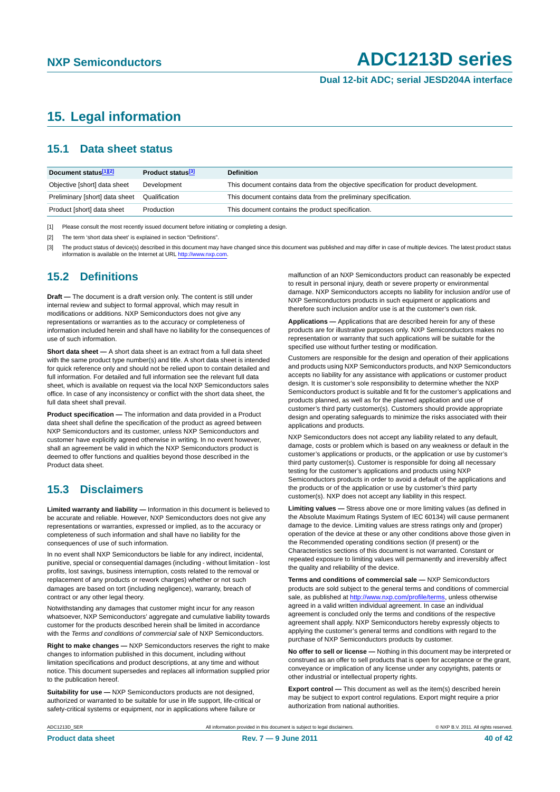**Dual 12-bit ADC; serial JESD204A interface**

#### <span id="page-39-0"></span>**15. Legal information**

#### <span id="page-39-1"></span>**15.1 Data sheet status**

| Document status[1][2]          | Product status <sup>[3]</sup> | <b>Definition</b>                                                                     |
|--------------------------------|-------------------------------|---------------------------------------------------------------------------------------|
| Objective [short] data sheet   | Development                   | This document contains data from the objective specification for product development. |
| Preliminary [short] data sheet | Qualification                 | This document contains data from the preliminary specification.                       |
| Product [short] data sheet     | Production                    | This document contains the product specification.                                     |

[1] Please consult the most recently issued document before initiating or completing a design.

[2] The term 'short data sheet' is explained in section "Definitions".

[3] The product status of device(s) described in this document may have changed since this document was published and may differ in case of multiple devices. The latest product status<br>information is available on the Intern

#### <span id="page-39-2"></span>**15.2 Definitions**

**Draft —** The document is a draft version only. The content is still under internal review and subject to formal approval, which may result in modifications or additions. NXP Semiconductors does not give any representations or warranties as to the accuracy or completeness of information included herein and shall have no liability for the consequences of use of such information.

**Short data sheet —** A short data sheet is an extract from a full data sheet with the same product type number(s) and title. A short data sheet is intended for quick reference only and should not be relied upon to contain detailed and full information. For detailed and full information see the relevant full data sheet, which is available on request via the local NXP Semiconductors sales office. In case of any inconsistency or conflict with the short data sheet, the full data sheet shall prevail.

**Product specification —** The information and data provided in a Product data sheet shall define the specification of the product as agreed between NXP Semiconductors and its customer, unless NXP Semiconductors and customer have explicitly agreed otherwise in writing. In no event however, shall an agreement be valid in which the NXP Semiconductors product is deemed to offer functions and qualities beyond those described in the Product data sheet.

#### <span id="page-39-3"></span>**15.3 Disclaimers**

**Limited warranty and liability —** Information in this document is believed to be accurate and reliable. However, NXP Semiconductors does not give any representations or warranties, expressed or implied, as to the accuracy or completeness of such information and shall have no liability for the consequences of use of such information.

In no event shall NXP Semiconductors be liable for any indirect, incidental, punitive, special or consequential damages (including - without limitation - lost profits, lost savings, business interruption, costs related to the removal or replacement of any products or rework charges) whether or not such damages are based on tort (including negligence), warranty, breach of contract or any other legal theory.

Notwithstanding any damages that customer might incur for any reason whatsoever, NXP Semiconductors' aggregate and cumulative liability towards customer for the products described herein shall be limited in accordance with the *Terms and conditions of commercial sale* of NXP Semiconductors.

**Right to make changes —** NXP Semiconductors reserves the right to make changes to information published in this document, including without limitation specifications and product descriptions, at any time and without notice. This document supersedes and replaces all information supplied prior to the publication hereof.

**Suitability for use —** NXP Semiconductors products are not designed, authorized or warranted to be suitable for use in life support, life-critical or safety-critical systems or equipment, nor in applications where failure or

malfunction of an NXP Semiconductors product can reasonably be expected to result in personal injury, death or severe property or environmental damage. NXP Semiconductors accepts no liability for inclusion and/or use of NXP Semiconductors products in such equipment or applications and therefore such inclusion and/or use is at the customer's own risk.

**Applications —** Applications that are described herein for any of these products are for illustrative purposes only. NXP Semiconductors makes no representation or warranty that such applications will be suitable for the specified use without further testing or modification.

Customers are responsible for the design and operation of their applications and products using NXP Semiconductors products, and NXP Semiconductors accepts no liability for any assistance with applications or customer product design. It is customer's sole responsibility to determine whether the NXP Semiconductors product is suitable and fit for the customer's applications and products planned, as well as for the planned application and use of customer's third party customer(s). Customers should provide appropriate design and operating safeguards to minimize the risks associated with their applications and products.

NXP Semiconductors does not accept any liability related to any default, damage, costs or problem which is based on any weakness or default in the customer's applications or products, or the application or use by customer's third party customer(s). Customer is responsible for doing all necessary testing for the customer's applications and products using NXP Semiconductors products in order to avoid a default of the applications and the products or of the application or use by customer's third party customer(s). NXP does not accept any liability in this respect.

**Limiting values —** Stress above one or more limiting values (as defined in the Absolute Maximum Ratings System of IEC 60134) will cause permanent damage to the device. Limiting values are stress ratings only and (proper) operation of the device at these or any other conditions above those given in the Recommended operating conditions section (if present) or the Characteristics sections of this document is not warranted. Constant or repeated exposure to limiting values will permanently and irreversibly affect the quality and reliability of the device.

**Terms and conditions of commercial sale —** NXP Semiconductors products are sold subject to the general terms and conditions of commercial sale, as published at<http://www.nxp.com/profile/terms>, unless otherwise agreed in a valid written individual agreement. In case an individual agreement is concluded only the terms and conditions of the respective agreement shall apply. NXP Semiconductors hereby expressly objects to applying the customer's general terms and conditions with regard to the purchase of NXP Semiconductors products by customer.

**No offer to sell or license —** Nothing in this document may be interpreted or construed as an offer to sell products that is open for acceptance or the grant, conveyance or implication of any license under any copyrights, patents or other industrial or intellectual property rights.

**Export control —** This document as well as the item(s) described herein may be subject to export control regulations. Export might require a prior authorization from national authorities.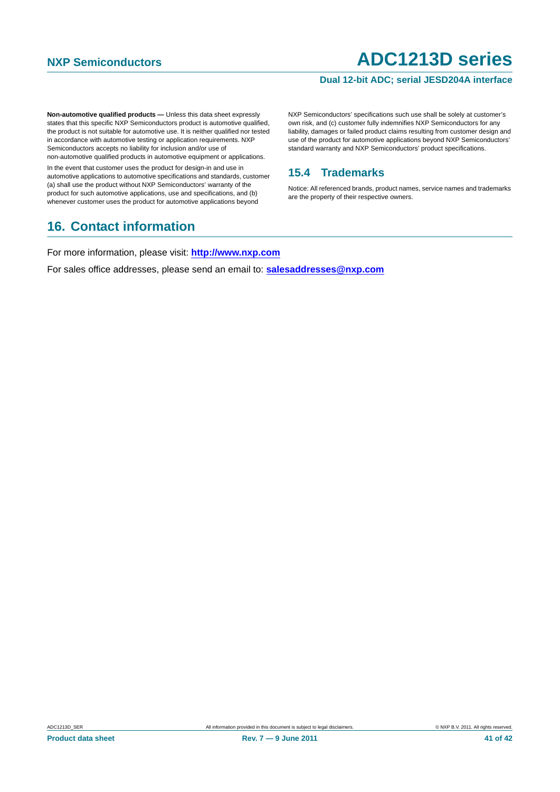#### **Dual 12-bit ADC; serial JESD204A interface**

**Non-automotive qualified products —** Unless this data sheet expressly states that this specific NXP Semiconductors product is automotive qualified, the product is not suitable for automotive use. It is neither qualified nor tested in accordance with automotive testing or application requirements. NXP Semiconductors accepts no liability for inclusion and/or use of non-automotive qualified products in automotive equipment or applications.

In the event that customer uses the product for design-in and use in automotive applications to automotive specifications and standards, customer (a) shall use the product without NXP Semiconductors' warranty of the product for such automotive applications, use and specifications, and (b) whenever customer uses the product for automotive applications beyond

### <span id="page-40-1"></span>**16. Contact information**

NXP Semiconductors' specifications such use shall be solely at customer's own risk, and (c) customer fully indemnifies NXP Semiconductors for any liability, damages or failed product claims resulting from customer design and use of the product for automotive applications beyond NXP Semiconductors' standard warranty and NXP Semiconductors' product specifications.

#### <span id="page-40-0"></span>**15.4 Trademarks**

Notice: All referenced brands, product names, service names and trademarks are the property of their respective owners.

For more information, please visit: **http://www.nxp.com**

For sales office addresses, please send an email to: **salesaddresses@nxp.com**